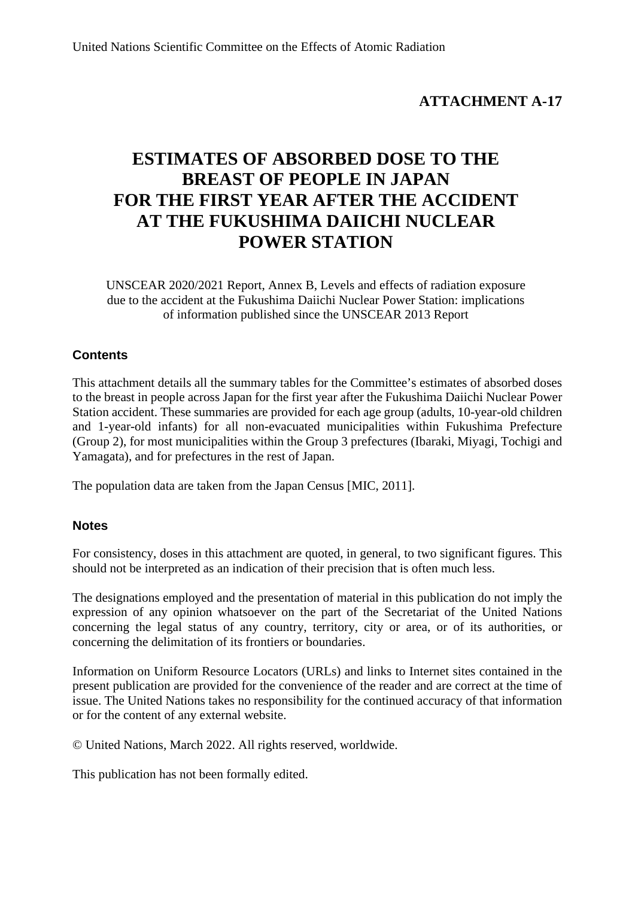## **ATTACHMENT A-17**

# **ESTIMATES OF ABSORBED DOSE TO THE BREAST OF PEOPLE IN JAPAN FOR THE FIRST YEAR AFTER THE ACCIDENT AT THE FUKUSHIMA DAIICHI NUCLEAR POWER STATION**

UNSCEAR 2020/2021 Report, Annex B, Levels and effects of radiation exposure due to the accident at the Fukushima Daiichi Nuclear Power Station: implications of information published since the UNSCEAR 2013 Report

## **Contents**

This attachment details all the summary tables for the Committee's estimates of absorbed doses to the breast in people across Japan for the first year after the Fukushima Daiichi Nuclear Power Station accident. These summaries are provided for each age group (adults, 10-year-old children and 1-year-old infants) for all non-evacuated municipalities within Fukushima Prefecture (Group 2), for most municipalities within the Group 3 prefectures (Ibaraki, Miyagi, Tochigi and Yamagata), and for prefectures in the rest of Japan.

The population data are taken from the Japan Census [MIC, 2011].

## **Notes**

For consistency, doses in this attachment are quoted, in general, to two significant figures. This should not be interpreted as an indication of their precision that is often much less.

The designations employed and the presentation of material in this publication do not imply the expression of any opinion whatsoever on the part of the Secretariat of the United Nations concerning the legal status of any country, territory, city or area, or of its authorities, or concerning the delimitation of its frontiers or boundaries.

Information on Uniform Resource Locators (URLs) and links to Internet sites contained in the present publication are provided for the convenience of the reader and are correct at the time of issue. The United Nations takes no responsibility for the continued accuracy of that information or for the content of any external website.

© United Nations, March 2022. All rights reserved, worldwide.

This publication has not been formally edited.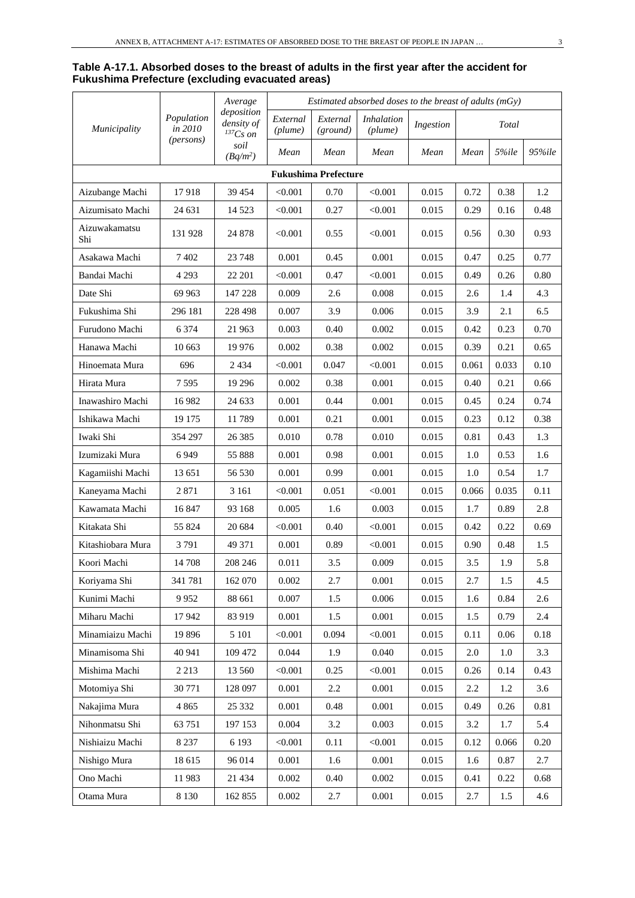#### **Table A-17.1. Absorbed doses to the breast of adults in the first year after the accident for Fukushima Prefecture (excluding evacuated areas)**

|                      | Average               | Estimated absorbed doses to the breast of adults $(mGy)$ |                     |                             |                              |           |         |       |        |
|----------------------|-----------------------|----------------------------------------------------------|---------------------|-----------------------------|------------------------------|-----------|---------|-------|--------|
| Municipality         | Population<br>in 2010 | deposition<br>density of<br>$^{137}Cs$ on                | External<br>(plume) | External<br>(ground)        | <i>Inhalation</i><br>(plume) | Ingestion |         | Total |        |
|                      | (persons)             | soil<br>$(Bq/m^2)$                                       | Mean                | Mean                        | Mean                         | Mean      | Mean    | 5%ile | 95%ile |
|                      |                       |                                                          |                     | <b>Fukushima Prefecture</b> |                              |           |         |       |        |
| Aizubange Machi      | 17918                 | 39 454                                                   | < 0.001             | 0.70                        | < 0.001                      | 0.015     | 0.72    | 0.38  | 1.2    |
| Aizumisato Machi     | 24 631                | 14 5 23                                                  | < 0.001             | 0.27                        | < 0.001                      | 0.015     | 0.29    | 0.16  | 0.48   |
| Aizuwakamatsu<br>Shi | 131 928               | 24 878                                                   | < 0.001             | 0.55                        | < 0.001                      | 0.015     | 0.56    | 0.30  | 0.93   |
| Asakawa Machi        | 7402                  | 23 748                                                   | 0.001               | 0.45                        | 0.001                        | 0.015     | 0.47    | 0.25  | 0.77   |
| Bandai Machi         | 4 2 9 3               | 22 201                                                   | < 0.001             | 0.47                        | < 0.001                      | 0.015     | 0.49    | 0.26  | 0.80   |
| Date Shi             | 69 963                | 147 228                                                  | 0.009               | 2.6                         | 0.008                        | 0.015     | 2.6     | 1.4   | 4.3    |
| Fukushima Shi        | 296 181               | 228 498                                                  | 0.007               | 3.9                         | 0.006                        | 0.015     | 3.9     | 2.1   | 6.5    |
| Furudono Machi       | 6 3 7 4               | 21 963                                                   | 0.003               | 0.40                        | 0.002                        | 0.015     | 0.42    | 0.23  | 0.70   |
| Hanawa Machi         | 10 663                | 19 9 76                                                  | 0.002               | 0.38                        | 0.002                        | 0.015     | 0.39    | 0.21  | 0.65   |
| Hinoemata Mura       | 696                   | 2 4 3 4                                                  | < 0.001             | 0.047                       | < 0.001                      | 0.015     | 0.061   | 0.033 | 0.10   |
| Hirata Mura          | 7595                  | 19 29 6                                                  | 0.002               | 0.38                        | 0.001                        | 0.015     | 0.40    | 0.21  | 0.66   |
| Inawashiro Machi     | 16 982                | 24 633                                                   | 0.001               | 0.44                        | 0.001                        | 0.015     | 0.45    | 0.24  | 0.74   |
| Ishikawa Machi       | 19 175                | 11789                                                    | 0.001               | 0.21                        | 0.001                        | 0.015     | 0.23    | 0.12  | 0.38   |
| Iwaki Shi            | 354 297               | 26 3 8 5                                                 | 0.010               | 0.78                        | 0.010                        | 0.015     | 0.81    | 0.43  | 1.3    |
| Izumizaki Mura       | 6949                  | 55 888                                                   | 0.001               | 0.98                        | 0.001                        | 0.015     | 1.0     | 0.53  | 1.6    |
| Kagamiishi Machi     | 13 651                | 56 530                                                   | 0.001               | 0.99                        | 0.001                        | 0.015     | 1.0     | 0.54  | 1.7    |
| Kaneyama Machi       | 2871                  | 3 1 6 1                                                  | < 0.001             | 0.051                       | < 0.001                      | 0.015     | 0.066   | 0.035 | 0.11   |
| Kawamata Machi       | 16 847                | 93 168                                                   | 0.005               | 1.6                         | 0.003                        | 0.015     | 1.7     | 0.89  | 2.8    |
| Kitakata Shi         | 55 824                | 20 684                                                   | < 0.001             | 0.40                        | < 0.001                      | 0.015     | 0.42    | 0.22  | 0.69   |
| Kitashiobara Mura    | 3791                  | 49 371                                                   | 0.001               | 0.89                        | < 0.001                      | 0.015     | 0.90    | 0.48  | 1.5    |
| Koori Machi          | 14 708                | 208 246                                                  | 0.011               | 3.5                         | 0.009                        | 0.015     | 3.5     | 1.9   | 5.8    |
| Koriyama Shi         | 341 781               | 162 070                                                  | 0.002               | $2.7\,$                     | 0.001                        | 0.015     | 2.7     | 1.5   | 4.5    |
| Kunimi Machi         | 9952                  | 88 661                                                   | 0.007               | 1.5                         | 0.006                        | 0.015     | 1.6     | 0.84  | 2.6    |
| Miharu Machi         | 17942                 | 83 919                                                   | 0.001               | 1.5                         | 0.001                        | 0.015     | 1.5     | 0.79  | 2.4    |
| Minamiaizu Machi     | 19896                 | 5 1 0 1                                                  | < 0.001             | 0.094                       | < 0.001                      | 0.015     | 0.11    | 0.06  | 0.18   |
| Minamisoma Shi       | 40 941                | 109 472                                                  | 0.044               | 1.9                         | 0.040                        | 0.015     | $2.0\,$ | 1.0   | 3.3    |
| Mishima Machi        | 2 2 1 3               | 13 560                                                   | < 0.001             | 0.25                        | < 0.001                      | 0.015     | 0.26    | 0.14  | 0.43   |
| Motomiya Shi         | 30 771                | 128 097                                                  | 0.001               | 2.2                         | 0.001                        | 0.015     | 2.2     | 1.2   | 3.6    |
| Nakajima Mura        | 4 8 6 5               | 25 332                                                   | 0.001               | 0.48                        | 0.001                        | 0.015     | 0.49    | 0.26  | 0.81   |
| Nihonmatsu Shi       | 63 751                | 197 153                                                  | 0.004               | 3.2                         | 0.003                        | 0.015     | 3.2     | 1.7   | 5.4    |
| Nishiaizu Machi      | 8 2 3 7               | 6 1 9 3                                                  | < 0.001             | 0.11                        | < 0.001                      | 0.015     | 0.12    | 0.066 | 0.20   |
| Nishigo Mura         | 18 615                | 96 014                                                   | 0.001               | 1.6                         | $0.001\,$                    | 0.015     | 1.6     | 0.87  | 2.7    |
| Ono Machi            | 11983                 | 21 4 34                                                  | 0.002               | 0.40                        | 0.002                        | 0.015     | 0.41    | 0.22  | 0.68   |
| Otama Mura           | 8 1 3 0               | 162 855                                                  | 0.002               | 2.7                         | 0.001                        | 0.015     | 2.7     | 1.5   | 4.6    |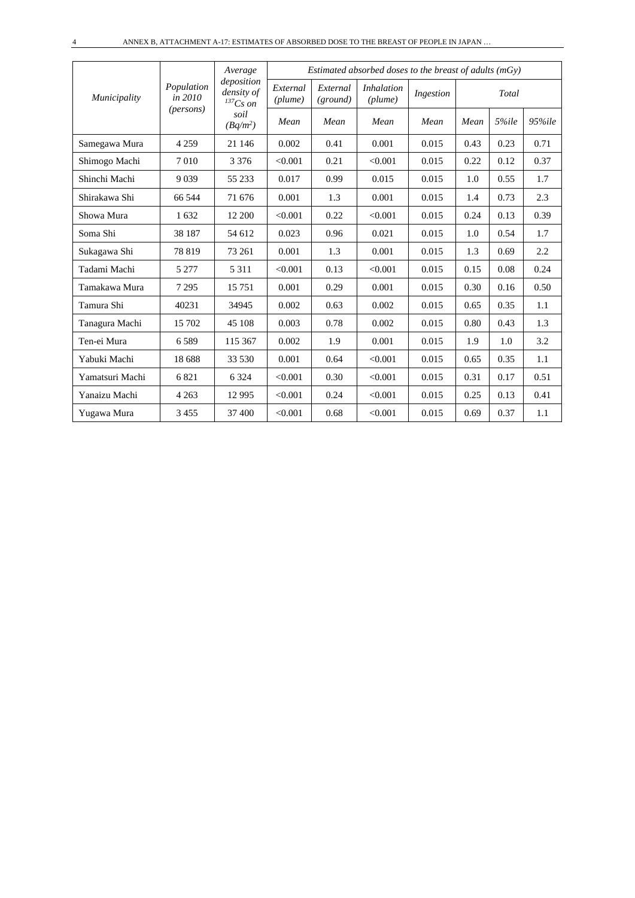|                 |                       | Average<br>deposition         |                     |                      | Estimated absorbed doses to the breast of adults $(mGy)$ |           |      |       |            |
|-----------------|-----------------------|-------------------------------|---------------------|----------------------|----------------------------------------------------------|-----------|------|-------|------------|
| Municipality    | Population<br>in 2010 | density of<br>${}^{137}Cs$ on | External<br>(plume) | External<br>(ground) | <i>Inhalation</i><br>(plume)                             | Ingestion |      | Total |            |
|                 | ( <i>persons</i> )    | soil<br>$(Bq/m^2)$            | Mean                | Mean                 | Mean                                                     | Mean      | Mean | 5%ile | $95\%$ ile |
| Samegawa Mura   | 4 2 5 9               | 21 14 6                       | 0.002               | 0.41                 | 0.001                                                    | 0.015     | 0.43 | 0.23  | 0.71       |
| Shimogo Machi   | 7010                  | 3 3 7 6                       | < 0.001             | 0.21                 | < 0.001                                                  | 0.015     | 0.22 | 0.12  | 0.37       |
| Shinchi Machi   | 9039                  | 55 233                        | 0.017               | 0.99                 | 0.015                                                    | 0.015     | 1.0  | 0.55  | 1.7        |
| Shirakawa Shi   | 66 544                | 71 676                        | 0.001               | 1.3                  | 0.001                                                    | 0.015     | 1.4  | 0.73  | 2.3        |
| Showa Mura      | 1632                  | 12 200                        | < 0.001             | 0.22                 | < 0.001                                                  | 0.015     | 0.24 | 0.13  | 0.39       |
| Soma Shi        | 38 187                | 54 612                        | 0.023               | 0.96                 | 0.021                                                    | 0.015     | 1.0  | 0.54  | 1.7        |
| Sukagawa Shi    | 78819                 | 73 261                        | 0.001               | 1.3                  | 0.001                                                    | 0.015     | 1.3  | 0.69  | 2.2        |
| Tadami Machi    | 5 2 7 7               | 5 3 1 1                       | < 0.001             | 0.13                 | < 0.001                                                  | 0.015     | 0.15 | 0.08  | 0.24       |
| Tamakawa Mura   | 7 2 9 5               | 15751                         | 0.001               | 0.29                 | 0.001                                                    | 0.015     | 0.30 | 0.16  | 0.50       |
| Tamura Shi      | 40231                 | 34945                         | 0.002               | 0.63                 | 0.002                                                    | 0.015     | 0.65 | 0.35  | 1.1        |
| Tanagura Machi  | 15 702                | 45 108                        | 0.003               | 0.78                 | 0.002                                                    | 0.015     | 0.80 | 0.43  | 1.3        |
| Ten-ei Mura     | 6589                  | 115 367                       | 0.002               | 1.9                  | 0.001                                                    | 0.015     | 1.9  | 1.0   | 3.2        |
| Yabuki Machi    | 18 688                | 33 530                        | 0.001               | 0.64                 | < 0.001                                                  | 0.015     | 0.65 | 0.35  | 1.1        |
| Yamatsuri Machi | 6821                  | 6 3 2 4                       | < 0.001             | 0.30                 | < 0.001                                                  | 0.015     | 0.31 | 0.17  | 0.51       |
| Yanaizu Machi   | 4 2 6 3               | 12 9 95                       | < 0.001             | 0.24                 | < 0.001                                                  | 0.015     | 0.25 | 0.13  | 0.41       |
| Yugawa Mura     | 3455                  | 37 400                        | < 0.001             | 0.68                 | < 0.001                                                  | 0.015     | 0.69 | 0.37  | 1.1        |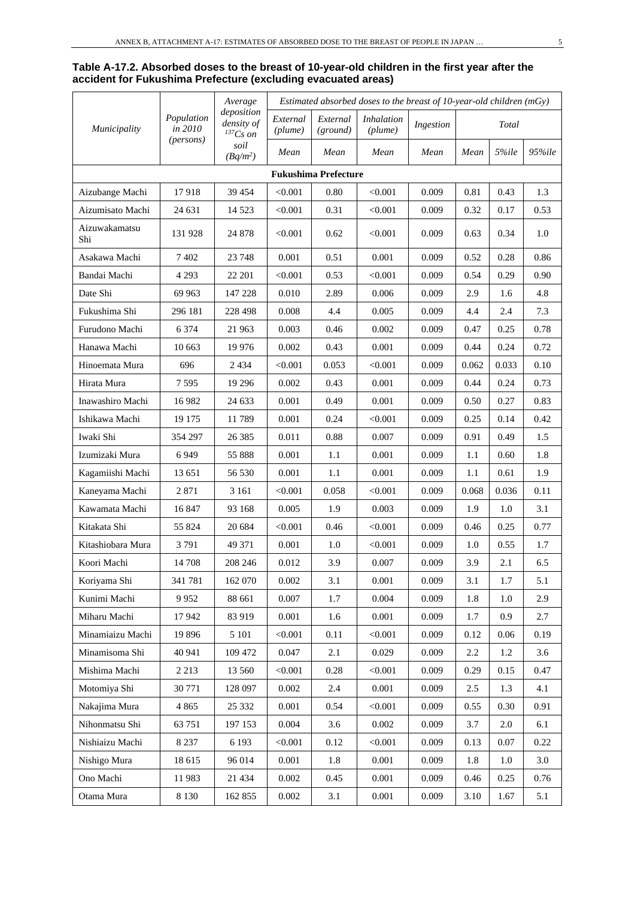#### **Table A-17.2. Absorbed doses to the breast of 10-year-old children in the first year after the accident for Fukushima Prefecture (excluding evacuated areas)**

|                      |                       | Average                                   | Estimated absorbed doses to the breast of $10$ -year-old children (mGy) |                             |                              |           |       |       |            |  |
|----------------------|-----------------------|-------------------------------------------|-------------------------------------------------------------------------|-----------------------------|------------------------------|-----------|-------|-------|------------|--|
| <i>Municipality</i>  | Population<br>in 2010 | deposition<br>density of<br>$^{137}Cs$ on | External<br>(plume)                                                     | External<br>(ground)        | <i>Inhalation</i><br>(plume) | Ingestion |       | Total |            |  |
|                      | (persons)             | soil<br>$(Bq/m^2)$                        | Mean                                                                    | Mean                        | Mean                         | Mean      | Mean  | 5%ile | $95\%$ ile |  |
|                      |                       |                                           |                                                                         | <b>Fukushima Prefecture</b> |                              |           |       |       |            |  |
| Aizubange Machi      | 17918                 | 39 454                                    | < 0.001                                                                 | 0.80                        | < 0.001                      | 0.009     | 0.81  | 0.43  | 1.3        |  |
| Aizumisato Machi     | 24 631                | 14 5 23                                   | < 0.001                                                                 | 0.31                        | < 0.001                      | 0.009     | 0.32  | 0.17  | 0.53       |  |
| Aizuwakamatsu<br>Shi | 131 928               | 24 878                                    | < 0.001                                                                 | 0.62                        | < 0.001                      | 0.009     | 0.63  | 0.34  | 1.0        |  |
| Asakawa Machi        | 7 402                 | 23 748                                    | 0.001                                                                   | 0.51                        | 0.001                        | 0.009     | 0.52  | 0.28  | 0.86       |  |
| Bandai Machi         | 4 2 9 3               | 22 201                                    | < 0.001                                                                 | 0.53                        | < 0.001                      | 0.009     | 0.54  | 0.29  | 0.90       |  |
| Date Shi             | 69 963                | 147 228                                   | 0.010                                                                   | 2.89                        | 0.006                        | 0.009     | 2.9   | 1.6   | 4.8        |  |
| Fukushima Shi        | 296 181               | 228 498                                   | 0.008                                                                   | 4.4                         | 0.005                        | 0.009     | 4.4   | 2.4   | 7.3        |  |
| Furudono Machi       | 6 3 7 4               | 21 963                                    | 0.003                                                                   | 0.46                        | 0.002                        | 0.009     | 0.47  | 0.25  | 0.78       |  |
| Hanawa Machi         | 10 663                | 19 976                                    | 0.002                                                                   | 0.43                        | 0.001                        | 0.009     | 0.44  | 0.24  | 0.72       |  |
| Hinoemata Mura       | 696                   | 2 4 3 4                                   | < 0.001                                                                 | 0.053                       | < 0.001                      | 0.009     | 0.062 | 0.033 | 0.10       |  |
| Hirata Mura          | 7595                  | 19 29 6                                   | 0.002                                                                   | 0.43                        | 0.001                        | 0.009     | 0.44  | 0.24  | 0.73       |  |
| Inawashiro Machi     | 16 982                | 24 633                                    | 0.001                                                                   | 0.49                        | 0.001                        | 0.009     | 0.50  | 0.27  | 0.83       |  |
| Ishikawa Machi       | 19 175                | 11789                                     | 0.001                                                                   | 0.24                        | < 0.001                      | 0.009     | 0.25  | 0.14  | 0.42       |  |
| Iwaki Shi            | 354 297               | 26 38 5                                   | 0.011                                                                   | 0.88                        | 0.007                        | 0.009     | 0.91  | 0.49  | 1.5        |  |
| Izumizaki Mura       | 6949                  | 55 888                                    | 0.001                                                                   | 1.1                         | 0.001                        | 0.009     | 1.1   | 0.60  | 1.8        |  |
| Kagamiishi Machi     | 13 651                | 56 530                                    | 0.001                                                                   | 1.1                         | 0.001                        | 0.009     | 1.1   | 0.61  | 1.9        |  |
| Kaneyama Machi       | 2871                  | 3 1 6 1                                   | $< \!\! 0.001$                                                          | 0.058                       | < 0.001                      | 0.009     | 0.068 | 0.036 | 0.11       |  |
| Kawamata Machi       | 16847                 | 93 168                                    | 0.005                                                                   | 1.9                         | 0.003                        | 0.009     | 1.9   | 1.0   | 3.1        |  |
| Kitakata Shi         | 55 824                | 20 684                                    | < 0.001                                                                 | 0.46                        | < 0.001                      | 0.009     | 0.46  | 0.25  | 0.77       |  |
| Kitashiobara Mura    | 3791                  | 49 371                                    | 0.001                                                                   | 1.0                         | < 0.001                      | 0.009     | 1.0   | 0.55  | 1.7        |  |
| Koori Machi          | 14 708                | 208 246                                   | 0.012                                                                   | 3.9                         | 0.007                        | 0.009     | 3.9   | 2.1   | 6.5        |  |
| Koriyama Shi         | 341 781               | 162 070                                   | 0.002                                                                   | 3.1                         | 0.001                        | 0.009     | 3.1   | 1.7   | 5.1        |  |
| Kunimi Machi         | 9952                  | 88 661                                    | 0.007                                                                   | 1.7                         | 0.004                        | 0.009     | 1.8   | 1.0   | 2.9        |  |
| Miharu Machi         | 17942                 | 83 919                                    | 0.001                                                                   | 1.6                         | 0.001                        | 0.009     | 1.7   | 0.9   | 2.7        |  |
| Minamiaizu Machi     | 19896                 | 5 1 0 1                                   | < 0.001                                                                 | 0.11                        | < 0.001                      | 0.009     | 0.12  | 0.06  | 0.19       |  |
| Minamisoma Shi       | 40 941                | 109 472                                   | 0.047                                                                   | $2.1$                       | 0.029                        | 0.009     | 2.2   | 1.2   | 3.6        |  |
| Mishima Machi        | 2 2 1 3               | 13 560                                    | < 0.001                                                                 | 0.28                        | < 0.001                      | 0.009     | 0.29  | 0.15  | 0.47       |  |
| Motomiya Shi         | 30 771                | 128 097                                   | 0.002                                                                   | 2.4                         | 0.001                        | 0.009     | 2.5   | 1.3   | 4.1        |  |
| Nakajima Mura        | 4 8 6 5               | 25 332                                    | 0.001                                                                   | 0.54                        | < 0.001                      | 0.009     | 0.55  | 0.30  | 0.91       |  |
| Nihonmatsu Shi       | 63 751                | 197 153                                   | 0.004                                                                   | 3.6                         | 0.002                        | 0.009     | 3.7   | 2.0   | 6.1        |  |
| Nishiaizu Machi      | 8 2 3 7               | 6 1 9 3                                   | < 0.001                                                                 | 0.12                        | < 0.001                      | 0.009     | 0.13  | 0.07  | 0.22       |  |
| Nishigo Mura         | 18 615                | 96 014                                    | $0.001\,$                                                               | 1.8                         | $0.001\,$                    | 0.009     | 1.8   | 1.0   | 3.0        |  |
| Ono Machi            | 11983                 | 21 4 34                                   | 0.002                                                                   | 0.45                        | 0.001                        | 0.009     | 0.46  | 0.25  | 0.76       |  |
| Otama Mura           | 8 1 3 0               | 162 855                                   | 0.002                                                                   | 3.1                         | 0.001                        | 0.009     | 3.10  | 1.67  | 5.1        |  |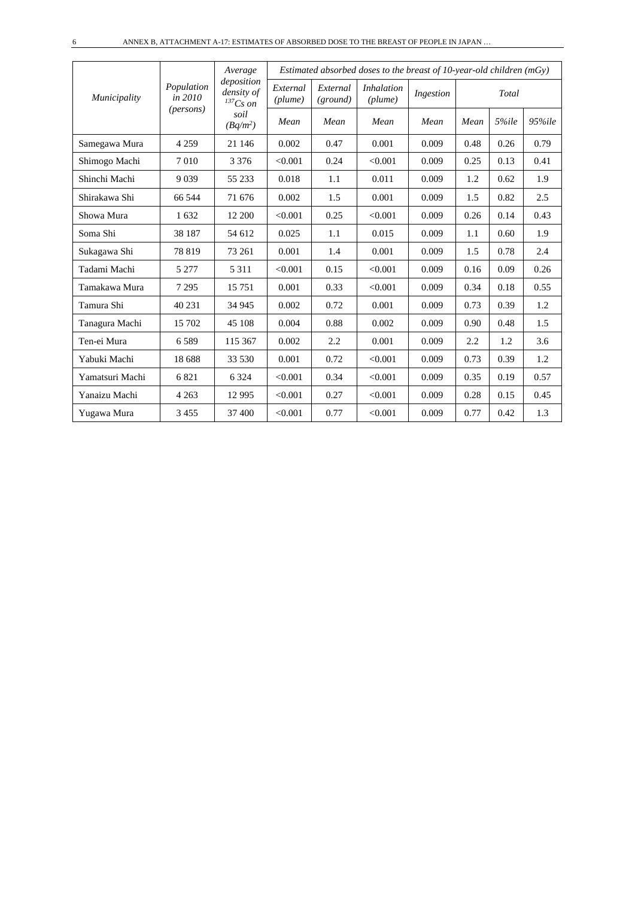|                 |                       | Average                                     |                     |                      | Estimated absorbed doses to the breast of 10-year-old children $(mGy)$ |           |      |       |            |
|-----------------|-----------------------|---------------------------------------------|---------------------|----------------------|------------------------------------------------------------------------|-----------|------|-------|------------|
| Municipality    | Population<br>in 2010 | deposition<br>density of<br>${}^{137}Cs$ on | External<br>(plume) | External<br>(ground) | <i>Inhalation</i><br>(plume)                                           | Ingestion |      | Total |            |
|                 | ( <i>persons</i> )    | soil<br>$(Bq/m^2)$                          | Mean                | Mean                 | Mean                                                                   | Mean      | Mean | 5%ile | $95\%$ ile |
| Samegawa Mura   | 4 2 5 9               | 21 14 6                                     | 0.002               | 0.47                 | 0.001                                                                  | 0.009     | 0.48 | 0.26  | 0.79       |
| Shimogo Machi   | 7010                  | 3 3 7 6                                     | < 0.001             | 0.24                 | < 0.001                                                                | 0.009     | 0.25 | 0.13  | 0.41       |
| Shinchi Machi   | 9039                  | 55 233                                      | 0.018               | 1.1                  | 0.011                                                                  | 0.009     | 1.2  | 0.62  | 1.9        |
| Shirakawa Shi   | 66 544                | 71 676                                      | 0.002               | 1.5                  | 0.001                                                                  | 0.009     | 1.5  | 0.82  | 2.5        |
| Showa Mura      | 1632                  | 12 200                                      | < 0.001             | 0.25                 | < 0.001                                                                | 0.009     | 0.26 | 0.14  | 0.43       |
| Soma Shi        | 38 187                | 54 612                                      | 0.025               | 1.1                  | 0.015                                                                  | 0.009     | 1.1  | 0.60  | 1.9        |
| Sukagawa Shi    | 78819                 | 73 261                                      | 0.001               | 1.4                  | 0.001                                                                  | 0.009     | 1.5  | 0.78  | 2.4        |
| Tadami Machi    | 5 2 7 7               | 5 3 1 1                                     | < 0.001             | 0.15                 | < 0.001                                                                | 0.009     | 0.16 | 0.09  | 0.26       |
| Tamakawa Mura   | 7 2 9 5               | 15 751                                      | 0.001               | 0.33                 | < 0.001                                                                | 0.009     | 0.34 | 0.18  | 0.55       |
| Tamura Shi      | 40 231                | 34 945                                      | 0.002               | 0.72                 | 0.001                                                                  | 0.009     | 0.73 | 0.39  | 1.2        |
| Tanagura Machi  | 15 702                | 45 108                                      | 0.004               | 0.88                 | 0.002                                                                  | 0.009     | 0.90 | 0.48  | 1.5        |
| Ten-ei Mura     | 6589                  | 115 367                                     | 0.002               | 2.2                  | 0.001                                                                  | 0.009     | 2.2  | 1.2   | 3.6        |
| Yabuki Machi    | 18 688                | 33 530                                      | 0.001               | 0.72                 | < 0.001                                                                | 0.009     | 0.73 | 0.39  | 1.2        |
| Yamatsuri Machi | 6821                  | 6 3 2 4                                     | < 0.001             | 0.34                 | < 0.001                                                                | 0.009     | 0.35 | 0.19  | 0.57       |
| Yanaizu Machi   | 4 2 6 3               | 12 9 95                                     | < 0.001             | 0.27                 | < 0.001                                                                | 0.009     | 0.28 | 0.15  | 0.45       |
| Yugawa Mura     | 3455                  | 37 400                                      | < 0.001             | 0.77                 | < 0.001                                                                | 0.009     | 0.77 | 0.42  | 1.3        |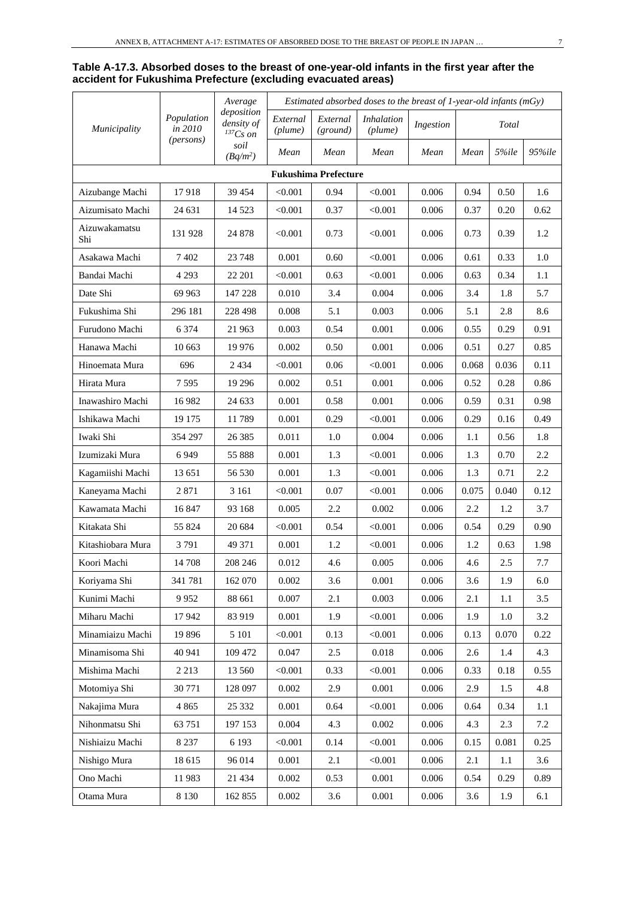#### **Table A-17.3. Absorbed doses to the breast of one-year-old infants in the first year after the accident for Fukushima Prefecture (excluding evacuated areas)**

|                      |                       | Average                                   | Estimated absorbed doses to the breast of $1$ -year-old infants (mGy) |                             |                              |           |       |       |        |
|----------------------|-----------------------|-------------------------------------------|-----------------------------------------------------------------------|-----------------------------|------------------------------|-----------|-------|-------|--------|
| <i>Municipality</i>  | Population<br>in 2010 | deposition<br>density of<br>$^{137}Cs$ on | External<br>(plume)                                                   | External<br>(ground)        | <i>Inhalation</i><br>(plume) | Ingestion |       | Total |        |
|                      | (persons)             | soil<br>$(Bq/m^2)$                        | Mean                                                                  | Mean                        | Mean                         | Mean      | Mean  | 5%ile | 95%ile |
|                      |                       |                                           |                                                                       | <b>Fukushima Prefecture</b> |                              |           |       |       |        |
| Aizubange Machi      | 17918                 | 39 454                                    | < 0.001                                                               | 0.94                        | < 0.001                      | 0.006     | 0.94  | 0.50  | 1.6    |
| Aizumisato Machi     | 24 631                | 14 5 23                                   | < 0.001                                                               | 0.37                        | < 0.001                      | 0.006     | 0.37  | 0.20  | 0.62   |
| Aizuwakamatsu<br>Shi | 131 928               | 24 878                                    | < 0.001                                                               | 0.73                        | < 0.001                      | 0.006     | 0.73  | 0.39  | 1.2    |
| Asakawa Machi        | 7402                  | 23 748                                    | 0.001                                                                 | 0.60                        | < 0.001                      | 0.006     | 0.61  | 0.33  | 1.0    |
| Bandai Machi         | 4 2 9 3               | 22 201                                    | < 0.001                                                               | 0.63                        | < 0.001                      | 0.006     | 0.63  | 0.34  | 1.1    |
| Date Shi             | 69 963                | 147 228                                   | 0.010                                                                 | 3.4                         | 0.004                        | 0.006     | 3.4   | 1.8   | 5.7    |
| Fukushima Shi        | 296 181               | 228 498                                   | 0.008                                                                 | 5.1                         | 0.003                        | 0.006     | 5.1   | 2.8   | 8.6    |
| Furudono Machi       | 6 3 7 4               | 21 963                                    | 0.003                                                                 | 0.54                        | 0.001                        | 0.006     | 0.55  | 0.29  | 0.91   |
| Hanawa Machi         | 10 663                | 19 9 76                                   | 0.002                                                                 | 0.50                        | 0.001                        | 0.006     | 0.51  | 0.27  | 0.85   |
| Hinoemata Mura       | 696                   | 2 4 3 4                                   | < 0.001                                                               | 0.06                        | < 0.001                      | 0.006     | 0.068 | 0.036 | 0.11   |
| Hirata Mura          | 7595                  | 19 29 6                                   | 0.002                                                                 | 0.51                        | 0.001                        | 0.006     | 0.52  | 0.28  | 0.86   |
| Inawashiro Machi     | 16 9 82               | 24 633                                    | 0.001                                                                 | 0.58                        | 0.001                        | 0.006     | 0.59  | 0.31  | 0.98   |
| Ishikawa Machi       | 19 175                | 11789                                     | 0.001                                                                 | 0.29                        | < 0.001                      | 0.006     | 0.29  | 0.16  | 0.49   |
| Iwaki Shi            | 354 297               | 26 38 5                                   | 0.011                                                                 | 1.0                         | 0.004                        | 0.006     | 1.1   | 0.56  | 1.8    |
| Izumizaki Mura       | 6949                  | 55 888                                    | 0.001                                                                 | 1.3                         | < 0.001                      | 0.006     | 1.3   | 0.70  | 2.2    |
| Kagamiishi Machi     | 13 651                | 56 530                                    | 0.001                                                                 | 1.3                         | < 0.001                      | 0.006     | 1.3   | 0.71  | 2.2    |
| Kaneyama Machi       | 2871                  | 3 1 6 1                                   | < 0.001                                                               | 0.07                        | < 0.001                      | 0.006     | 0.075 | 0.040 | 0.12   |
| Kawamata Machi       | 16 847                | 93 168                                    | 0.005                                                                 | 2.2                         | 0.002                        | 0.006     | 2.2   | 1.2   | 3.7    |
| Kitakata Shi         | 55 824                | 20 684                                    | < 0.001                                                               | 0.54                        | < 0.001                      | 0.006     | 0.54  | 0.29  | 0.90   |
| Kitashiobara Mura    | 3791                  | 49 371                                    | 0.001                                                                 | 1.2                         | < 0.001                      | 0.006     | 1.2   | 0.63  | 1.98   |
| Koori Machi          | 14 708                | 208 246                                   | 0.012                                                                 | 4.6                         | 0.005                        | 0.006     | 4.6   | 2.5   | 7.7    |
| Koriyama Shi         | 341 781               | 162 070                                   | 0.002                                                                 | 3.6                         | 0.001                        | 0.006     | 3.6   | 1.9   | 6.0    |
| Kunimi Machi         | 9952                  | 88 661                                    | 0.007                                                                 | 2.1                         | 0.003                        | 0.006     | 2.1   | 1.1   | 3.5    |
| Miharu Machi         | 17942                 | 83 919                                    | 0.001                                                                 | 1.9                         | < 0.001                      | 0.006     | 1.9   | 1.0   | 3.2    |
| Minamiaizu Machi     | 19896                 | 5 1 0 1                                   | < 0.001                                                               | 0.13                        | < 0.001                      | 0.006     | 0.13  | 0.070 | 0.22   |
| Minamisoma Shi       | 40 941                | 109 472                                   | 0.047                                                                 | $2.5\,$                     | 0.018                        | 0.006     | 2.6   | 1.4   | 4.3    |
| Mishima Machi        | 2 2 1 3               | 13 560                                    | < 0.001                                                               | 0.33                        | < 0.001                      | 0.006     | 0.33  | 0.18  | 0.55   |
| Motomiya Shi         | 30 771                | 128 097                                   | 0.002                                                                 | 2.9                         | 0.001                        | 0.006     | 2.9   | 1.5   | 4.8    |
| Nakajima Mura        | 4 8 6 5               | 25 332                                    | 0.001                                                                 | 0.64                        | < 0.001                      | 0.006     | 0.64  | 0.34  | 1.1    |
| Nihonmatsu Shi       | 63 751                | 197 153                                   | 0.004                                                                 | 4.3                         | 0.002                        | 0.006     | 4.3   | 2.3   | 7.2    |
| Nishiaizu Machi      | 8 2 3 7               | 6 1 9 3                                   | < 0.001                                                               | 0.14                        | < 0.001                      | 0.006     | 0.15  | 0.081 | 0.25   |
| Nishigo Mura         | 18 615                | 96 014                                    | 0.001                                                                 | 2.1                         | < 0.001                      | 0.006     | 2.1   | 1.1   | 3.6    |
| Ono Machi            | 11983                 | 21 434                                    | 0.002                                                                 | 0.53                        | 0.001                        | 0.006     | 0.54  | 0.29  | 0.89   |
| Otama Mura           | 8 1 3 0               | 162 855                                   | 0.002                                                                 | 3.6                         | 0.001                        | 0.006     | 3.6   | 1.9   | 6.1    |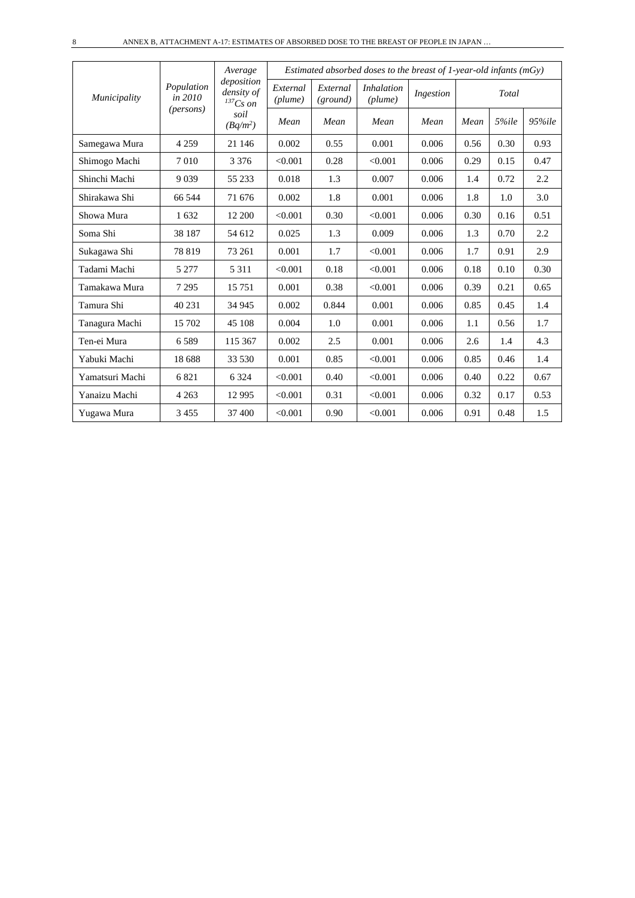|                 |                       | Average<br>deposition       |                     |                      | Estimated absorbed doses to the breast of 1-year-old infants ( $mGy$ ) |           |      |       |            |
|-----------------|-----------------------|-----------------------------|---------------------|----------------------|------------------------------------------------------------------------|-----------|------|-------|------------|
| Municipality    | Population<br>in 2010 | density of<br>$^{137}Cs$ on | External<br>(plume) | External<br>(ground) | <i>Inhalation</i><br>(plume)                                           | Ingestion |      | Total |            |
|                 | ( <i>persons</i> )    | soil<br>$(Bq/m^2)$          | Mean                | Mean                 | Mean                                                                   | Mean      | Mean | 5%ile | $95\%$ ile |
| Samegawa Mura   | 4 2 5 9               | 21 146                      | 0.002               | 0.55                 | 0.001                                                                  | 0.006     | 0.56 | 0.30  | 0.93       |
| Shimogo Machi   | 7010                  | 3 3 7 6                     | < 0.001             | 0.28                 | < 0.001                                                                | 0.006     | 0.29 | 0.15  | 0.47       |
| Shinchi Machi   | 9039                  | 55 233                      | 0.018               | 1.3                  | 0.007                                                                  | 0.006     | 1.4  | 0.72  | 2.2        |
| Shirakawa Shi   | 66 544                | 71 676                      | 0.002               | 1.8                  | 0.001                                                                  | 0.006     | 1.8  | 1.0   | 3.0        |
| Showa Mura      | 1632                  | 12 200                      | < 0.001             | 0.30                 | < 0.001                                                                | 0.006     | 0.30 | 0.16  | 0.51       |
| Soma Shi        | 38 187                | 54 612                      | 0.025               | 1.3                  | 0.009                                                                  | 0.006     | 1.3  | 0.70  | 2.2        |
| Sukagawa Shi    | 78819                 | 73 261                      | 0.001               | 1.7                  | < 0.001                                                                | 0.006     | 1.7  | 0.91  | 2.9        |
| Tadami Machi    | 5 2 7 7               | 5 3 1 1                     | < 0.001             | 0.18                 | < 0.001                                                                | 0.006     | 0.18 | 0.10  | 0.30       |
| Tamakawa Mura   | 7 2 9 5               | 15 751                      | 0.001               | 0.38                 | < 0.001                                                                | 0.006     | 0.39 | 0.21  | 0.65       |
| Tamura Shi      | 40 231                | 34 945                      | 0.002               | 0.844                | 0.001                                                                  | 0.006     | 0.85 | 0.45  | 1.4        |
| Tanagura Machi  | 15 702                | 45 108                      | 0.004               | 1.0                  | 0.001                                                                  | 0.006     | 1.1  | 0.56  | 1.7        |
| Ten-ei Mura     | 6589                  | 115 367                     | 0.002               | 2.5                  | 0.001                                                                  | 0.006     | 2.6  | 1.4   | 4.3        |
| Yabuki Machi    | 18 688                | 33 530                      | 0.001               | 0.85                 | < 0.001                                                                | 0.006     | 0.85 | 0.46  | 1.4        |
| Yamatsuri Machi | 6821                  | 6 3 2 4                     | < 0.001             | 0.40                 | < 0.001                                                                | 0.006     | 0.40 | 0.22  | 0.67       |
| Yanaizu Machi   | 4 2 6 3               | 12 9 95                     | < 0.001             | 0.31                 | < 0.001                                                                | 0.006     | 0.32 | 0.17  | 0.53       |
| Yugawa Mura     | 3 4 5 5               | 37 400                      | < 0.001             | 0.90                 | < 0.001                                                                | 0.006     | 0.91 | 0.48  | 1.5        |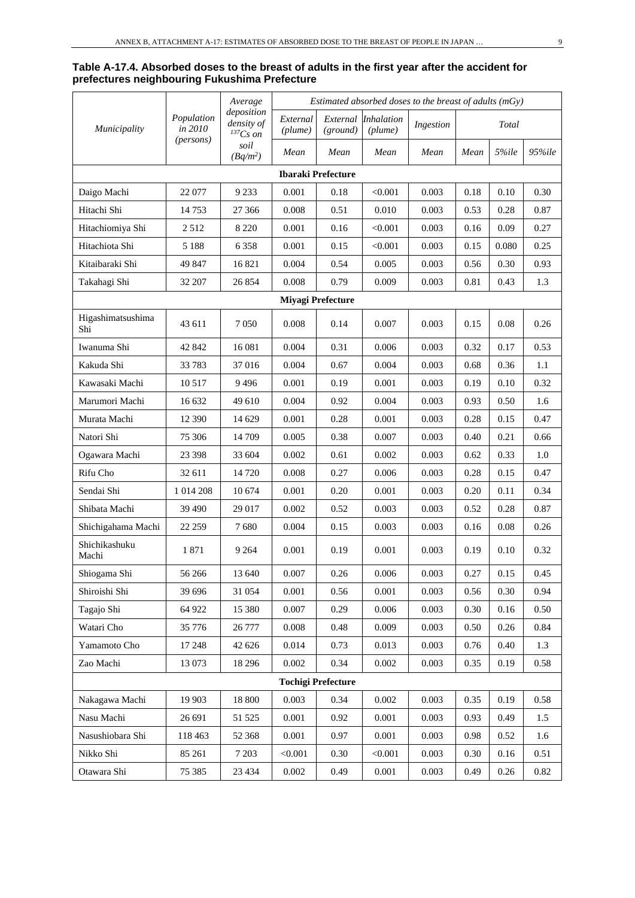#### **Table A-17.4. Absorbed doses to the breast of adults in the first year after the accident for prefectures neighbouring Fukushima Prefecture**

|                          |                       | Average                                     | Estimated absorbed doses to the breast of adults $(mGy)$ |                           |                              |           |      |       |        |  |
|--------------------------|-----------------------|---------------------------------------------|----------------------------------------------------------|---------------------------|------------------------------|-----------|------|-------|--------|--|
| <i>Municipality</i>      | Population<br>in 2010 | deposition<br>density of<br>${}^{137}Cs$ on | External<br>(plume)                                      | External<br>(ground)      | <i>Inhalation</i><br>(plume) | Ingestion |      | Total |        |  |
|                          | (persons)             | soil<br>$(Bq/m^2)$                          | Mean                                                     | Mean                      | Mean                         | Mean      | Mean | 5%ile | 95%ile |  |
|                          |                       |                                             |                                                          | <b>Ibaraki Prefecture</b> |                              |           |      |       |        |  |
| Daigo Machi              | 22 077                | 9 2 3 3                                     | 0.001                                                    | 0.18                      | < 0.001                      | 0.003     | 0.18 | 0.10  | 0.30   |  |
| Hitachi Shi              | 14753                 | 27 36 6                                     | 0.008                                                    | 0.51                      | 0.010                        | 0.003     | 0.53 | 0.28  | 0.87   |  |
| Hitachiomiya Shi         | 2512                  | 8 2 2 0                                     | 0.001                                                    | 0.16                      | < 0.001                      | 0.003     | 0.16 | 0.09  | 0.27   |  |
| Hitachiota Shi           | 5 1 8 8               | 6 3 5 8                                     | 0.001                                                    | 0.15                      | < 0.001                      | 0.003     | 0.15 | 0.080 | 0.25   |  |
| Kitaibaraki Shi          | 49 847                | 16821                                       | 0.004                                                    | 0.54                      | 0.005                        | 0.003     | 0.56 | 0.30  | 0.93   |  |
| Takahagi Shi             | 32 207                | 26 854                                      | 0.008                                                    | 0.79                      | 0.009                        | 0.003     | 0.81 | 0.43  | 1.3    |  |
|                          |                       |                                             |                                                          | <b>Miyagi Prefecture</b>  |                              |           |      |       |        |  |
| Higashimatsushima<br>Shi | 43 611                | 7 0 5 0                                     | 0.008                                                    | 0.14                      | 0.007                        | 0.003     | 0.15 | 0.08  | 0.26   |  |
| Iwanuma Shi              | 42 842                | 16 08 1                                     | 0.004                                                    | 0.31                      | 0.006                        | 0.003     | 0.32 | 0.17  | 0.53   |  |
| Kakuda Shi               | 33 7 83               | 37016                                       | 0.004                                                    | 0.67                      | 0.004                        | 0.003     | 0.68 | 0.36  | 1.1    |  |
| Kawasaki Machi           | 10 5 17               | 9496                                        | 0.001                                                    | 0.19                      | 0.001                        | 0.003     | 0.19 | 0.10  | 0.32   |  |
| Marumori Machi           | 16 632                | 49 610                                      | 0.004                                                    | 0.92                      | 0.004                        | 0.003     | 0.93 | 0.50  | 1.6    |  |
| Murata Machi             | 12 390                | 14 629                                      | 0.001                                                    | 0.28                      | 0.001                        | 0.003     | 0.28 | 0.15  | 0.47   |  |
| Natori Shi               | 75 306                | 14 709                                      | 0.005                                                    | 0.38                      | 0.007                        | 0.003     | 0.40 | 0.21  | 0.66   |  |
| Ogawara Machi            | 23 398                | 33 604                                      | 0.002                                                    | 0.61                      | 0.002                        | 0.003     | 0.62 | 0.33  | 1.0    |  |
| Rifu Cho                 | 32 611                | 14 720                                      | 0.008                                                    | 0.27                      | 0.006                        | 0.003     | 0.28 | 0.15  | 0.47   |  |
| Sendai Shi               | 1 014 208             | 10 674                                      | 0.001                                                    | 0.20                      | 0.001                        | 0.003     | 0.20 | 0.11  | 0.34   |  |
| Shibata Machi            | 39 490                | 29 017                                      | 0.002                                                    | 0.52                      | 0.003                        | 0.003     | 0.52 | 0.28  | 0.87   |  |
| Shichigahama Machi       | 22 259                | 7680                                        | 0.004                                                    | 0.15                      | 0.003                        | 0.003     | 0.16 | 0.08  | 0.26   |  |
| Shichikashuku<br>Machi   | 1871                  | 9 2 6 4                                     | 0.001                                                    | 0.19                      | 0.001                        | 0.003     | 0.19 | 0.10  | 0.32   |  |
| Shiogama Shi             | 56 266                | 13 640                                      | 0.007                                                    | 0.26                      | 0.006                        | 0.003     | 0.27 | 0.15  | 0.45   |  |
| Shiroishi Shi            | 39 696                | 31 054                                      | 0.001                                                    | 0.56                      | 0.001                        | 0.003     | 0.56 | 0.30  | 0.94   |  |
| Tagajo Shi               | 64 922                | 15 380                                      | 0.007                                                    | 0.29                      | 0.006                        | 0.003     | 0.30 | 0.16  | 0.50   |  |
| Watari Cho               | 35 776                | 26 777                                      | 0.008                                                    | 0.48                      | 0.009                        | 0.003     | 0.50 | 0.26  | 0.84   |  |
| Yamamoto Cho             | 17 248                | 42 626                                      | 0.014                                                    | 0.73                      | 0.013                        | 0.003     | 0.76 | 0.40  | 1.3    |  |
| Zao Machi                | 13 073                | 18 29 6                                     | 0.002                                                    | 0.34                      | 0.002                        | 0.003     | 0.35 | 0.19  | 0.58   |  |
|                          |                       |                                             |                                                          | <b>Tochigi Prefecture</b> |                              |           |      |       |        |  |
| Nakagawa Machi           | 19 903                | 18 800                                      | 0.003                                                    | 0.34                      | 0.002                        | 0.003     | 0.35 | 0.19  | 0.58   |  |
| Nasu Machi               | 26 691                | 51 525                                      | 0.001                                                    | 0.92                      | 0.001                        | 0.003     | 0.93 | 0.49  | 1.5    |  |
| Nasushiobara Shi         | 118 463               | 52 368                                      | 0.001                                                    | 0.97                      | 0.001                        | 0.003     | 0.98 | 0.52  | 1.6    |  |
| Nikko Shi                | 85 261                | 7 2 0 3                                     | < 0.001                                                  | 0.30                      | < 0.001                      | 0.003     | 0.30 | 0.16  | 0.51   |  |
| Otawara Shi              | 75 385                | 23 4 34                                     | 0.002                                                    | 0.49                      | 0.001                        | 0.003     | 0.49 | 0.26  | 0.82   |  |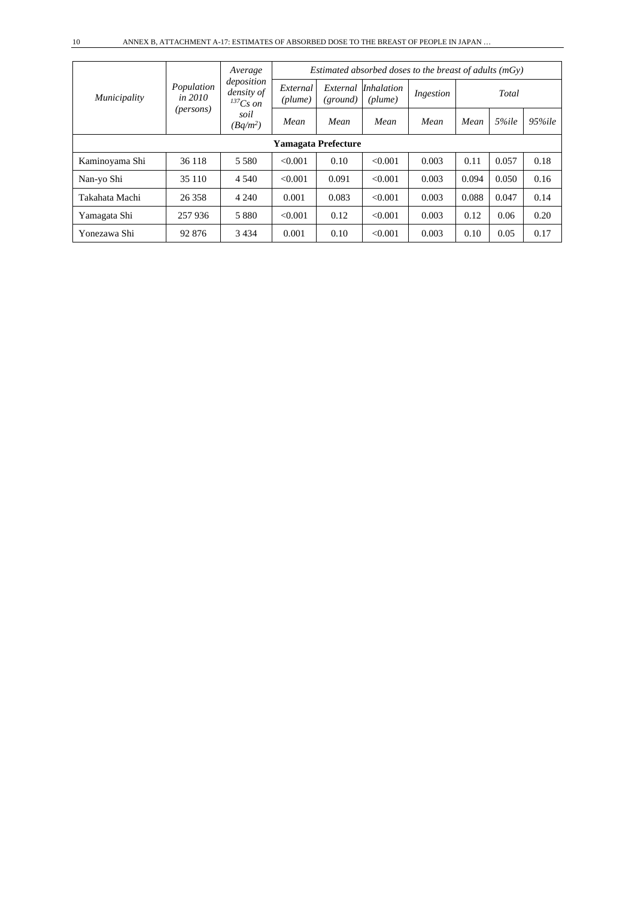|                |                              | Average                                   | Estimated absorbed doses to the breast of adults $(mGv)$ |                      |                       |           |       |       |            |  |
|----------------|------------------------------|-------------------------------------------|----------------------------------------------------------|----------------------|-----------------------|-----------|-------|-------|------------|--|
| Municipality   | Population<br><i>in 2010</i> | deposition<br>density of<br>$^{137}Cs$ on | External<br>(plume)                                      | External<br>(ground) | Inhalation<br>(plume) | Ingestion |       | Total |            |  |
|                | (persons)                    | soil<br>$(Bq/m^2)$                        | Mean                                                     | Mean                 | Mean                  | Mean      | Mean  | 5%ile | $95\%$ ile |  |
|                |                              |                                           | <b>Yamagata Prefecture</b>                               |                      |                       |           |       |       |            |  |
| Kaminoyama Shi | 36 118                       | 5 5 8 0                                   | < 0.001                                                  | 0.10                 | < 0.001               | 0.003     | 0.11  | 0.057 | 0.18       |  |
| Nan-yo Shi     | 35 110                       | 4 5 4 0                                   | < 0.001                                                  | 0.091                | < 0.001               | 0.003     | 0.094 | 0.050 | 0.16       |  |
| Takahata Machi | 26 358                       | 4 2 4 0                                   | 0.001                                                    | 0.083                | < 0.001               | 0.003     | 0.088 | 0.047 | 0.14       |  |
| Yamagata Shi   | 257936                       | 5 8 8 0                                   | < 0.001                                                  | 0.12                 | < 0.001               | 0.003     | 0.12  | 0.06  | 0.20       |  |
| Yonezawa Shi   | 92 876                       | 3434                                      | 0.001                                                    | 0.10                 | < 0.001               | 0.003     | 0.10  | 0.05  | 0.17       |  |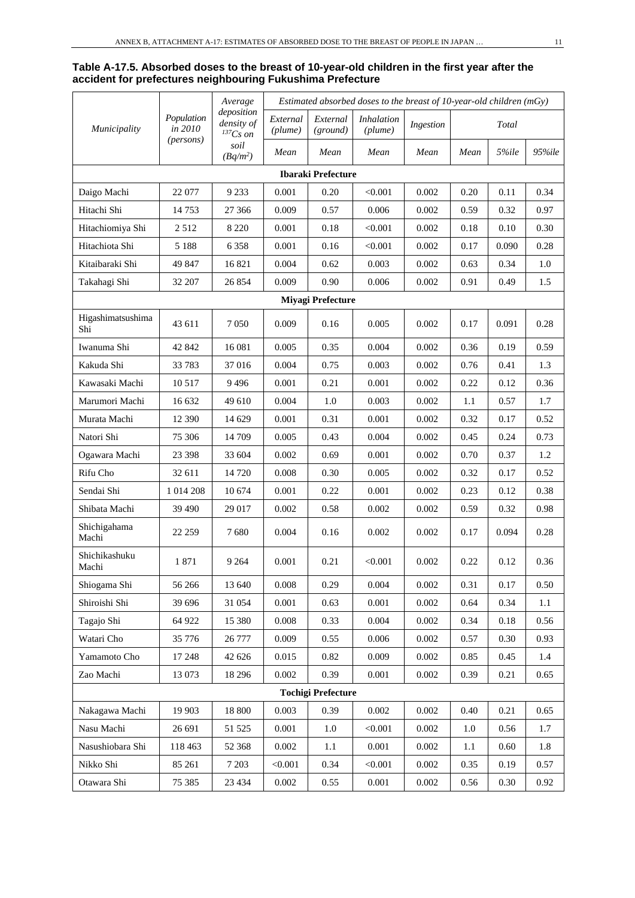#### **Table A-17.5. Absorbed doses to the breast of 10-year-old children in the first year after the accident for prefectures neighbouring Fukushima Prefecture**

|                          | Average               | Estimated absorbed doses to the breast of 10-year-old children (mGy) |                     |                           |                       |           |      |          |        |
|--------------------------|-----------------------|----------------------------------------------------------------------|---------------------|---------------------------|-----------------------|-----------|------|----------|--------|
| Municipality             | Population<br>in 2010 | deposition<br>density of<br>${}^{137}Cs$ on                          | External<br>(plume) | External<br>(ground)      | Inhalation<br>(plume) | Ingestion |      | Total    |        |
|                          | (persons)             | soil<br>$(Bq/m^2)$                                                   | Mean                | Mean                      | Mean                  | Mean      | Mean | 5%ile    | 95%ile |
|                          |                       |                                                                      |                     | <b>Ibaraki Prefecture</b> |                       |           |      |          |        |
| Daigo Machi              | 22 077                | 9 2 3 3                                                              | 0.001               | 0.20                      | < 0.001               | 0.002     | 0.20 | 0.11     | 0.34   |
| Hitachi Shi              | 14753                 | 27 366                                                               | 0.009               | 0.57                      | 0.006                 | 0.002     | 0.59 | 0.32     | 0.97   |
| Hitachiomiya Shi         | 2512                  | 8 2 2 0                                                              | 0.001               | 0.18                      | < 0.001               | 0.002     | 0.18 | 0.10     | 0.30   |
| Hitachiota Shi           | 5 1 8 8               | 6 3 5 8                                                              | 0.001               | 0.16                      | < 0.001               | 0.002     | 0.17 | 0.090    | 0.28   |
| Kitaibaraki Shi          | 49 847                | 16821                                                                | 0.004               | 0.62                      | 0.003                 | 0.002     | 0.63 | 0.34     | 1.0    |
| Takahagi Shi             | 32 207                | 26 854                                                               | 0.009               | 0.90                      | 0.006                 | 0.002     | 0.91 | 0.49     | 1.5    |
|                          |                       |                                                                      |                     | <b>Miyagi Prefecture</b>  |                       |           |      |          |        |
| Higashimatsushima<br>Shi | 43 611                | 7050                                                                 | 0.009               | 0.16                      | 0.005                 | 0.002     | 0.17 | 0.091    | 0.28   |
| Iwanuma Shi              | 42 842                | 16 081                                                               | 0.005               | 0.35                      | 0.004                 | 0.002     | 0.36 | 0.19     | 0.59   |
| Kakuda Shi               | 33783                 | 37 016                                                               | 0.004               | 0.75                      | 0.003                 | 0.002     | 0.76 | 0.41     | 1.3    |
| Kawasaki Machi           | 10517                 | 9496                                                                 | 0.001               | 0.21                      | 0.001                 | 0.002     | 0.22 | 0.12     | 0.36   |
| Marumori Machi           | 16 632                | 49 610                                                               | 0.004               | 1.0                       | 0.003                 | 0.002     | 1.1  | 0.57     | 1.7    |
| Murata Machi             | 12 390                | 14 629                                                               | 0.001               | 0.31                      | 0.001                 | 0.002     | 0.32 | 0.17     | 0.52   |
| Natori Shi               | 75 306                | 14 709                                                               | 0.005               | 0.43                      | 0.004                 | 0.002     | 0.45 | 0.24     | 0.73   |
| Ogawara Machi            | 23 398                | 33 604                                                               | 0.002               | 0.69                      | 0.001                 | 0.002     | 0.70 | 0.37     | 1.2    |
| Rifu Cho                 | 32 611                | 14 720                                                               | 0.008               | 0.30                      | 0.005                 | 0.002     | 0.32 | 0.17     | 0.52   |
| Sendai Shi               | 1 0 14 2 08           | 10 674                                                               | 0.001               | 0.22                      | 0.001                 | 0.002     | 0.23 | 0.12     | 0.38   |
| Shibata Machi            | 39 490                | 29 017                                                               | 0.002               | 0.58                      | 0.002                 | 0.002     | 0.59 | 0.32     | 0.98   |
| Shichigahama<br>Machi    | 22 259                | 7680                                                                 | 0.004               | 0.16                      | 0.002                 | 0.002     | 0.17 | 0.094    | 0.28   |
| Shichikashuku<br>Machi   | 1871                  | 9 2 6 4                                                              | 0.001               | 0.21                      | < 0.001               | 0.002     | 0.22 | 0.12     | 0.36   |
| Shiogama Shi             | 56 266                | 13 640                                                               | 0.008               | 0.29                      | 0.004                 | 0.002     | 0.31 | 0.17     | 0.50   |
| Shiroishi Shi            | 39 696                | 31 054                                                               | 0.001               | 0.63                      | 0.001                 | 0.002     | 0.64 | 0.34     | 1.1    |
| Tagajo Shi               | 64 922                | 15 380                                                               | 0.008               | 0.33                      | 0.004                 | 0.002     | 0.34 | $0.18\,$ | 0.56   |
| Watari Cho               | 35 776                | 26 777                                                               | 0.009               | 0.55                      | 0.006                 | 0.002     | 0.57 | 0.30     | 0.93   |
| Yamamoto Cho             | 17 248                | 42 626                                                               | 0.015               | 0.82                      | 0.009                 | 0.002     | 0.85 | 0.45     | 1.4    |
| Zao Machi                | 13 073                | 18 29 6                                                              | 0.002               | 0.39                      | 0.001                 | 0.002     | 0.39 | 0.21     | 0.65   |
|                          |                       |                                                                      |                     | <b>Tochigi Prefecture</b> |                       |           |      |          |        |
| Nakagawa Machi           | 19 903                | 18 800                                                               | 0.003               | 0.39                      | $0.002\,$             | 0.002     | 0.40 | 0.21     | 0.65   |
| Nasu Machi               | 26 691                | 51 525                                                               | 0.001               | 1.0                       | < 0.001               | 0.002     | 1.0  | 0.56     | 1.7    |
| Nasushiobara Shi         | 118 463               | 52 368                                                               | 0.002               | 1.1                       | 0.001                 | 0.002     | 1.1  | 0.60     | 1.8    |
| Nikko Shi                | 85 261                | 7 2 0 3                                                              | < 0.001             | 0.34                      | < 0.001               | 0.002     | 0.35 | 0.19     | 0.57   |
| Otawara Shi              | 75 385                | 23 4 34                                                              | 0.002               | 0.55                      | 0.001                 | 0.002     | 0.56 | 0.30     | 0.92   |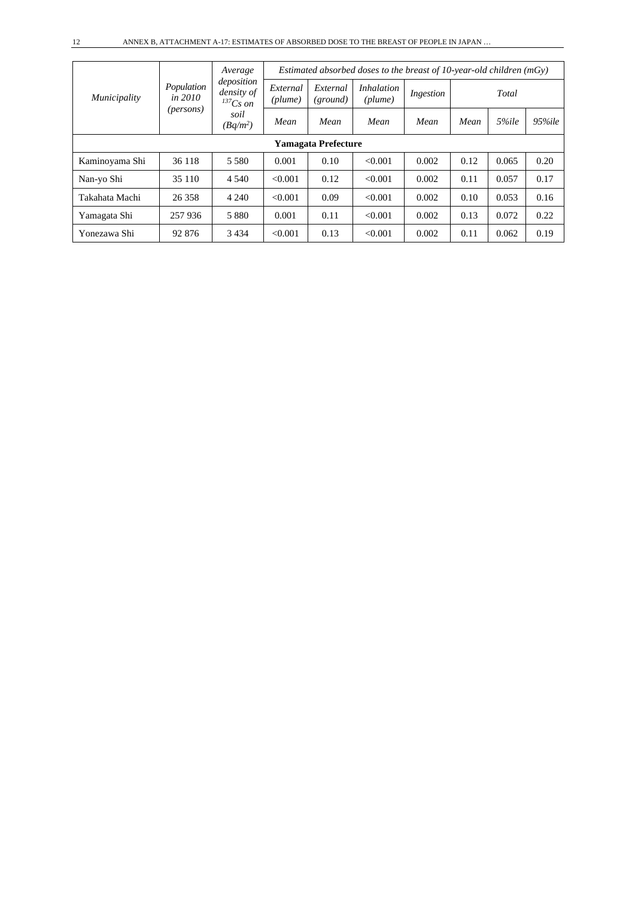|                |                         | Average<br>deposition<br>density of<br>$^{137}Cs$ on | Estimated absorbed doses to the breast of 10-year-old children $(mGy)$ |                            |                              |           |      |       |        |  |  |
|----------------|-------------------------|------------------------------------------------------|------------------------------------------------------------------------|----------------------------|------------------------------|-----------|------|-------|--------|--|--|
| Municipality   | Population<br>in $2010$ |                                                      | External<br>(plume)                                                    | External<br>(ground)       | <i>Inhalation</i><br>(plume) | Ingestion |      | Total |        |  |  |
|                | (persons)               | soil<br>$(Bq/m^2)$                                   | Mean                                                                   | Mean                       | Mean                         | Mean      | Mean | 5%ile | 95%ile |  |  |
|                |                         |                                                      |                                                                        | <b>Yamagata Prefecture</b> |                              |           |      |       |        |  |  |
| Kaminoyama Shi | 36 118                  | 5 5 8 0                                              | 0.001                                                                  | 0.10                       | < 0.001                      | 0.002     | 0.12 | 0.065 | 0.20   |  |  |
| Nan-yo Shi     | 35 110                  | 4 5 4 0                                              | < 0.001                                                                | 0.12                       | < 0.001                      | 0.002     | 0.11 | 0.057 | 0.17   |  |  |
| Takahata Machi | 26 358                  | 4 2 4 0                                              | < 0.001                                                                | 0.09                       | < 0.001                      | 0.002     | 0.10 | 0.053 | 0.16   |  |  |
| Yamagata Shi   | 257 936                 | 5 8 8 0                                              | 0.001                                                                  | 0.11                       | < 0.001                      | 0.002     | 0.13 | 0.072 | 0.22   |  |  |
| Yonezawa Shi   | 92 876                  | 3 4 3 4                                              | < 0.001                                                                | 0.13                       | < 0.001                      | 0.002     | 0.11 | 0.062 | 0.19   |  |  |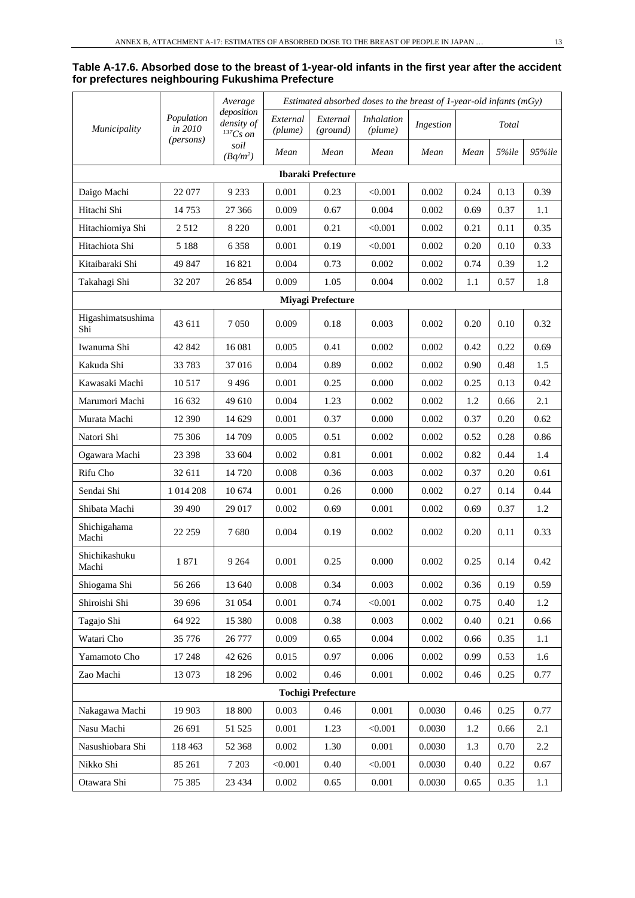#### **Table A-17.6. Absorbed dose to the breast of 1-year-old infants in the first year after the accident for prefectures neighbouring Fukushima Prefecture**

|                          |                       | Average                                     | Estimated absorbed doses to the breast of $1$ -year-old infants (mGy) |                           |                              |           |      |       |        |
|--------------------------|-----------------------|---------------------------------------------|-----------------------------------------------------------------------|---------------------------|------------------------------|-----------|------|-------|--------|
| Municipality             | Population<br>in 2010 | deposition<br>density of<br>${}^{137}Cs$ on | External<br>(plume)                                                   | External<br>(ground)      | <i>Inhalation</i><br>(plume) | Ingestion |      | Total |        |
|                          | (persons)             | soil<br>$(Bq/m^2)$                          | Mean                                                                  | Mean                      | Mean                         | Mean      | Mean | 5%ile | 95%ile |
|                          |                       |                                             |                                                                       | <b>Ibaraki Prefecture</b> |                              |           |      |       |        |
| Daigo Machi              | 22 077                | 9 2 3 3                                     | 0.001                                                                 | 0.23                      | < 0.001                      | 0.002     | 0.24 | 0.13  | 0.39   |
| Hitachi Shi              | 14 7 5 3              | 27 366                                      | 0.009                                                                 | 0.67                      | 0.004                        | 0.002     | 0.69 | 0.37  | 1.1    |
| Hitachiomiya Shi         | 2512                  | 8 2 2 0                                     | 0.001                                                                 | 0.21                      | < 0.001                      | 0.002     | 0.21 | 0.11  | 0.35   |
| Hitachiota Shi           | 5 1 8 8               | 6 3 5 8                                     | 0.001                                                                 | 0.19                      | < 0.001                      | 0.002     | 0.20 | 0.10  | 0.33   |
| Kitaibaraki Shi          | 49 847                | 16821                                       | 0.004                                                                 | 0.73                      | 0.002                        | 0.002     | 0.74 | 0.39  | 1.2    |
| Takahagi Shi             | 32 207                | 26 854                                      | 0.009                                                                 | 1.05                      | 0.004                        | 0.002     | 1.1  | 0.57  | 1.8    |
|                          |                       |                                             |                                                                       | <b>Miyagi Prefecture</b>  |                              |           |      |       |        |
| Higashimatsushima<br>Shi | 43 611                | 7050                                        | 0.009                                                                 | 0.18                      | 0.003                        | 0.002     | 0.20 | 0.10  | 0.32   |
| Iwanuma Shi              | 42 842                | 16 081                                      | 0.005                                                                 | 0.41                      | 0.002                        | 0.002     | 0.42 | 0.22  | 0.69   |
| Kakuda Shi               | 33783                 | 37016                                       | 0.004                                                                 | 0.89                      | 0.002                        | 0.002     | 0.90 | 0.48  | 1.5    |
| Kawasaki Machi           | 10 5 17               | 9496                                        | 0.001                                                                 | 0.25                      | 0.000                        | 0.002     | 0.25 | 0.13  | 0.42   |
| Marumori Machi           | 16 632                | 49 610                                      | 0.004                                                                 | 1.23                      | 0.002                        | 0.002     | 1.2  | 0.66  | 2.1    |
| Murata Machi             | 12 390                | 14 629                                      | 0.001                                                                 | 0.37                      | 0.000                        | 0.002     | 0.37 | 0.20  | 0.62   |
| Natori Shi               | 75 306                | 14 709                                      | 0.005                                                                 | 0.51                      | 0.002                        | 0.002     | 0.52 | 0.28  | 0.86   |
| Ogawara Machi            | 23 3 98               | 33 604                                      | 0.002                                                                 | 0.81                      | 0.001                        | 0.002     | 0.82 | 0.44  | 1.4    |
| Rifu Cho                 | 32 611                | 14 720                                      | 0.008                                                                 | 0.36                      | 0.003                        | 0.002     | 0.37 | 0.20  | 0.61   |
| Sendai Shi               | 1 014 208             | 10 674                                      | 0.001                                                                 | 0.26                      | 0.000                        | 0.002     | 0.27 | 0.14  | 0.44   |
| Shibata Machi            | 39 490                | 29 017                                      | 0.002                                                                 | 0.69                      | 0.001                        | 0.002     | 0.69 | 0.37  | 1.2    |
| Shichigahama<br>Machi    | 22 25 9               | 7680                                        | 0.004                                                                 | 0.19                      | 0.002                        | 0.002     | 0.20 | 0.11  | 0.33   |
| Shichikashuku<br>Machi   | 1871                  | 9 2 6 4                                     | 0.001                                                                 | 0.25                      | 0.000                        | 0.002     | 0.25 | 0.14  | 0.42   |
| Shiogama Shi             | 56 266                | 13 640                                      | 0.008                                                                 | 0.34                      | 0.003                        | 0.002     | 0.36 | 0.19  | 0.59   |
| Shiroishi Shi            | 39 696                | 31 054                                      | 0.001                                                                 | 0.74                      | < 0.001                      | 0.002     | 0.75 | 0.40  | 1.2    |
| Tagajo Shi               | 64 922                | 15 380                                      | 0.008                                                                 | 0.38                      | 0.003                        | 0.002     | 0.40 | 0.21  | 0.66   |
| Watari Cho               | 35 776                | 26 777                                      | 0.009                                                                 | 0.65                      | 0.004                        | 0.002     | 0.66 | 0.35  | 1.1    |
| Yamamoto Cho             | 17 248                | 42 626                                      | 0.015                                                                 | 0.97                      | 0.006                        | 0.002     | 0.99 | 0.53  | 1.6    |
| Zao Machi                | 13 073                | 18 29 6                                     | 0.002                                                                 | 0.46                      | 0.001                        | 0.002     | 0.46 | 0.25  | 0.77   |
|                          |                       |                                             |                                                                       | <b>Tochigi Prefecture</b> |                              |           |      |       |        |
| Nakagawa Machi           | 19 903                | 18 800                                      | 0.003                                                                 | 0.46                      | 0.001                        | 0.0030    | 0.46 | 0.25  | 0.77   |
| Nasu Machi               | 26 691                | 51 525                                      | 0.001                                                                 | 1.23                      | < 0.001                      | 0.0030    | 1.2  | 0.66  | 2.1    |
| Nasushiobara Shi         | 118 463               | 52 368                                      | 0.002                                                                 | 1.30                      | 0.001                        | 0.0030    | 1.3  | 0.70  | 2.2    |
| Nikko Shi                | 85 261                | 7 2 0 3                                     | < 0.001                                                               | 0.40                      | < 0.001                      | 0.0030    | 0.40 | 0.22  | 0.67   |
| Otawara Shi              | 75 385                | 23 4 34                                     | 0.002                                                                 | 0.65                      | 0.001                        | 0.0030    | 0.65 | 0.35  | 1.1    |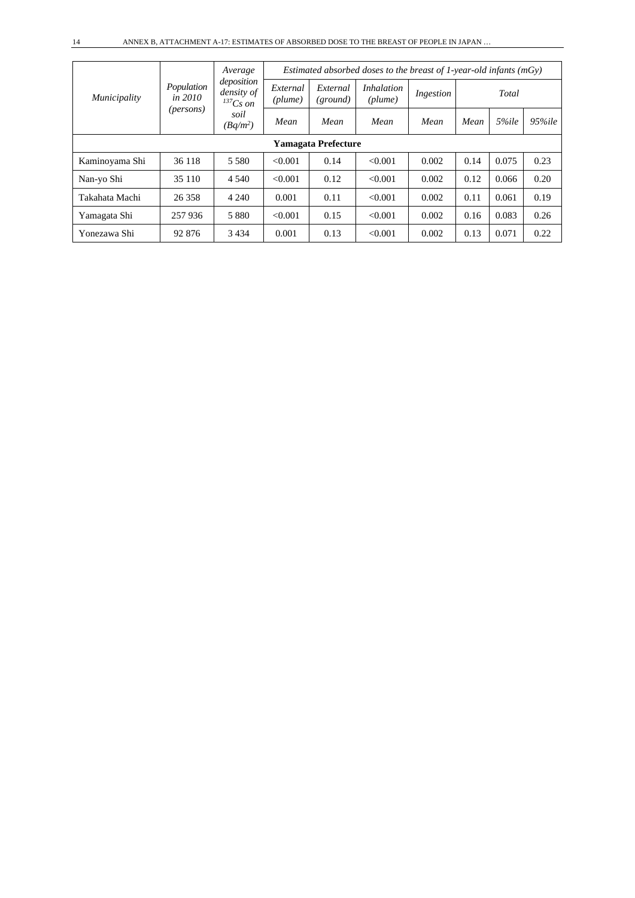|                |                         | Average                                   | Estimated absorbed doses to the breast of 1-year-old infants ( $mGv$ ) |                            |                                         |           |      |       |            |  |
|----------------|-------------------------|-------------------------------------------|------------------------------------------------------------------------|----------------------------|-----------------------------------------|-----------|------|-------|------------|--|
| Municipality   | Population<br>in $2010$ | deposition<br>density of<br>$^{137}Cs$ on | External<br>(plume)                                                    | External<br>(ground)       | <i>Inhalation</i><br>$(\textit{plume})$ | Ingestion |      | Total |            |  |
|                | (persons)               | soil<br>$(Bq/m^2)$                        | Mean                                                                   | Mean                       | Mean                                    | Mean      | Mean | 5%ile | $95\%$ ile |  |
|                |                         |                                           |                                                                        | <b>Yamagata Prefecture</b> |                                         |           |      |       |            |  |
| Kaminoyama Shi | 36 118                  | 5 5 8 0                                   | < 0.001                                                                | 0.14                       | < 0.001                                 | 0.002     | 0.14 | 0.075 | 0.23       |  |
| Nan-yo Shi     | 35 110                  | 4 5 4 0                                   | < 0.001                                                                | 0.12                       | < 0.001                                 | 0.002     | 0.12 | 0.066 | 0.20       |  |
| Takahata Machi | 26 358                  | 4 2 4 0                                   | 0.001                                                                  | 0.11                       | < 0.001                                 | 0.002     | 0.11 | 0.061 | 0.19       |  |
| Yamagata Shi   | 257 936                 | 5 8 8 0                                   | < 0.001                                                                | 0.15                       | < 0.001                                 | 0.002     | 0.16 | 0.083 | 0.26       |  |
| Yonezawa Shi   | 92 876                  | 3434                                      | 0.001                                                                  | 0.13                       | < 0.001                                 | 0.002     | 0.13 | 0.071 | 0.22       |  |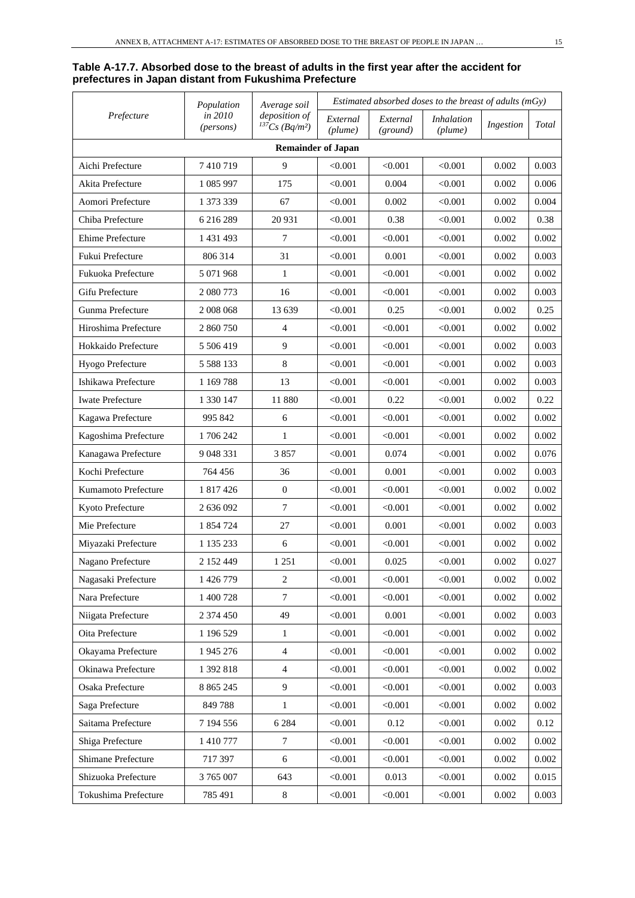#### **Table A-17.7. Absorbed dose to the breast of adults in the first year after the accident for prefectures in Japan distant from Fukushima Prefecture**

| Prefecture                | Population           | Average soil                                     |                     | Estimated absorbed doses to the breast of adults $(mGy)$ |                              |           |       |  |  |  |
|---------------------------|----------------------|--------------------------------------------------|---------------------|----------------------------------------------------------|------------------------------|-----------|-------|--|--|--|
|                           | in 2010<br>(persons) | deposition of<br>$^{137}Cs$ (Bq/m <sup>2</sup> ) | External<br>(plume) | External<br>(ground)                                     | <i>Inhalation</i><br>(plume) | Ingestion | Total |  |  |  |
| <b>Remainder of Japan</b> |                      |                                                  |                     |                                                          |                              |           |       |  |  |  |
| Aichi Prefecture          | 7410719              | 9                                                | < 0.001             | < 0.001                                                  | < 0.001                      | 0.002     | 0.003 |  |  |  |
| Akita Prefecture          | 1 085 997            | 175                                              | < 0.001             | 0.004                                                    | < 0.001                      | 0.002     | 0.006 |  |  |  |
| Aomori Prefecture         | 1 373 339            | 67                                               | < 0.001             | 0.002                                                    | < 0.001                      | 0.002     | 0.004 |  |  |  |
| Chiba Prefecture          | 6 216 289            | 20 931                                           | < 0.001             | 0.38                                                     | < 0.001                      | 0.002     | 0.38  |  |  |  |
| Ehime Prefecture          | 1 431 493            | 7                                                | < 0.001             | < 0.001                                                  | < 0.001                      | 0.002     | 0.002 |  |  |  |
| Fukui Prefecture          | 806 314              | 31                                               | < 0.001             | 0.001                                                    | < 0.001                      | 0.002     | 0.003 |  |  |  |
| Fukuoka Prefecture        | 5 071 968            | $\mathbf{1}$                                     | < 0.001             | < 0.001                                                  | < 0.001                      | 0.002     | 0.002 |  |  |  |
| Gifu Prefecture           | 2 080 773            | 16                                               | < 0.001             | < 0.001                                                  | < 0.001                      | 0.002     | 0.003 |  |  |  |
| Gunma Prefecture          | 2008 068             | 13 639                                           | < 0.001             | 0.25                                                     | < 0.001                      | 0.002     | 0.25  |  |  |  |
| Hiroshima Prefecture      | 2 860 750            | $\overline{4}$                                   | < 0.001             | < 0.001                                                  | < 0.001                      | 0.002     | 0.002 |  |  |  |
| Hokkaido Prefecture       | 5 506 419            | 9                                                | < 0.001             | < 0.001                                                  | < 0.001                      | 0.002     | 0.003 |  |  |  |
| Hyogo Prefecture          | 5 5 8 8 1 3 3        | 8                                                | < 0.001             | < 0.001                                                  | < 0.001                      | 0.002     | 0.003 |  |  |  |
| Ishikawa Prefecture       | 1 169 788            | 13                                               | < 0.001             | < 0.001                                                  | < 0.001                      | 0.002     | 0.003 |  |  |  |
| <b>Iwate Prefecture</b>   | 1 330 147            | 11 880                                           | < 0.001             | 0.22                                                     | < 0.001                      | 0.002     | 0.22  |  |  |  |
| Kagawa Prefecture         | 995 842              | 6                                                | < 0.001             | < 0.001                                                  | < 0.001                      | 0.002     | 0.002 |  |  |  |
| Kagoshima Prefecture      | 1706242              | $\mathbf{1}$                                     | < 0.001             | < 0.001                                                  | < 0.001                      | 0.002     | 0.002 |  |  |  |
| Kanagawa Prefecture       | 9 048 331            | 3857                                             | < 0.001             | 0.074                                                    | < 0.001                      | 0.002     | 0.076 |  |  |  |
| Kochi Prefecture          | 764 456              | 36                                               | < 0.001             | 0.001                                                    | < 0.001                      | 0.002     | 0.003 |  |  |  |
| Kumamoto Prefecture       | 1 817 426            | $\mathbf{0}$                                     | < 0.001             | < 0.001                                                  | < 0.001                      | 0.002     | 0.002 |  |  |  |
| Kyoto Prefecture          | 2 636 092            | 7                                                | $<\!\!0.001$        | < 0.001                                                  | < 0.001                      | 0.002     | 0.002 |  |  |  |
| Mie Prefecture            | 1 854 724            | 27                                               | < 0.001             | 0.001                                                    | < 0.001                      | 0.002     | 0.003 |  |  |  |
| Miyazaki Prefecture       | 1 135 233            | 6                                                | < 0.001             | < 0.001                                                  | < 0.001                      | 0.002     | 0.002 |  |  |  |
| Nagano Prefecture         | 2 152 449            | 1 2 5 1                                          | < 0.001             | 0.025                                                    | < 0.001                      | 0.002     | 0.027 |  |  |  |
| Nagasaki Prefecture       | 1 426 779            | 2                                                | < 0.001             | < 0.001                                                  | < 0.001                      | 0.002     | 0.002 |  |  |  |
| Nara Prefecture           | 1 400 728            | $\tau$                                           | < 0.001             | < 0.001                                                  | < 0.001                      | 0.002     | 0.002 |  |  |  |
| Niigata Prefecture        | 2 374 450            | 49                                               | < 0.001             | 0.001                                                    | < 0.001                      | 0.002     | 0.003 |  |  |  |
| Oita Prefecture           | 1 196 529            | $\mathbf{1}$                                     | < 0.001             | < 0.001                                                  | < 0.001                      | 0.002     | 0.002 |  |  |  |
| Okayama Prefecture        | 1 945 276            | $\overline{4}$                                   | < 0.001             | < 0.001                                                  | < 0.001                      | 0.002     | 0.002 |  |  |  |
| Okinawa Prefecture        | 1 392 818            | $\overline{4}$                                   | < 0.001             | < 0.001                                                  | < 0.001                      | 0.002     | 0.002 |  |  |  |
| Osaka Prefecture          | 8 8 6 5 2 4 5        | 9                                                | < 0.001             | < 0.001                                                  | < 0.001                      | 0.002     | 0.003 |  |  |  |
| Saga Prefecture           | 849788               | $\mathbf{1}$                                     | < 0.001             | < 0.001                                                  | < 0.001                      | 0.002     | 0.002 |  |  |  |
| Saitama Prefecture        | 7 194 556            | 6 2 8 4                                          | < 0.001             | 0.12                                                     | < 0.001                      | 0.002     | 0.12  |  |  |  |
| Shiga Prefecture          | 1 410 777            | $\boldsymbol{7}$                                 | < 0.001             | < 0.001                                                  | < 0.001                      | 0.002     | 0.002 |  |  |  |
| Shimane Prefecture        | 717 397              | 6                                                | < 0.001             | < 0.001                                                  | < 0.001                      | 0.002     | 0.002 |  |  |  |
| Shizuoka Prefecture       | 3 765 007            | 643                                              | < 0.001             | 0.013                                                    | < 0.001                      | 0.002     | 0.015 |  |  |  |
| Tokushima Prefecture      | 785 491              | $\,$ 8 $\,$                                      | < 0.001             | < 0.001                                                  | < 0.001                      | 0.002     | 0.003 |  |  |  |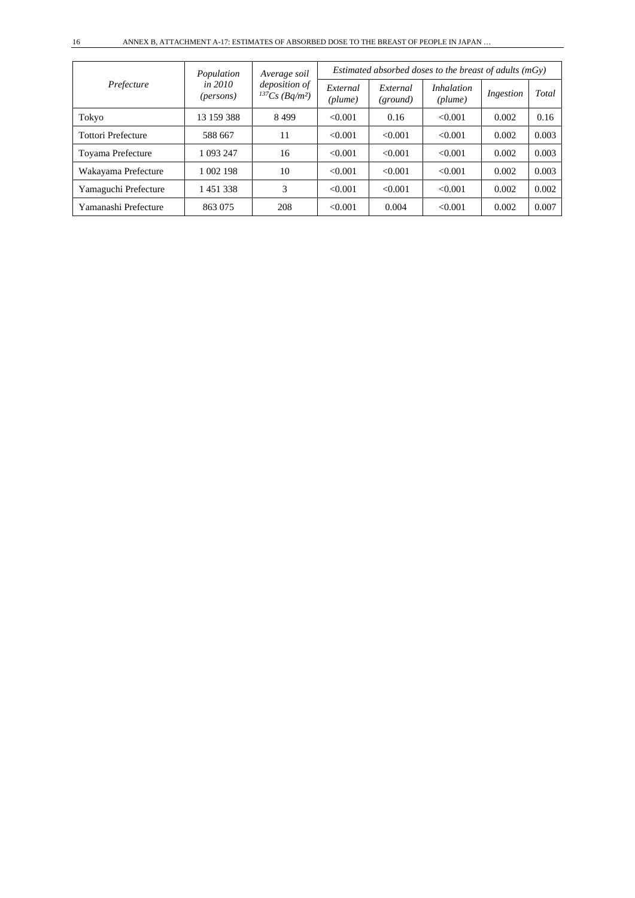| Prefecture                | Population<br><i>in 2010</i><br>( <i>persons</i> ) | Average soil                                     | Estimated absorbed doses to the breast of adults $(mGy)$ |                      |                              |           |       |  |
|---------------------------|----------------------------------------------------|--------------------------------------------------|----------------------------------------------------------|----------------------|------------------------------|-----------|-------|--|
|                           |                                                    | deposition of<br>$^{137}Cs$ (Bq/m <sup>2</sup> ) | External<br>(plume)                                      | External<br>(ground) | <i>Inhalation</i><br>(plume) | Ingestion | Total |  |
| Tokyo                     | 13 159 388                                         | 8499                                             | < 0.001                                                  | 0.16                 | < 0.001                      | 0.002     | 0.16  |  |
| <b>Tottori Prefecture</b> | 588 667                                            | 11                                               | < 0.001                                                  | < 0.001              | < 0.001                      | 0.002     | 0.003 |  |
| Toyama Prefecture         | 1 093 247                                          | 16                                               | < 0.001                                                  | < 0.001              | < 0.001                      | 0.002     | 0.003 |  |
| Wakayama Prefecture       | 1 002 198                                          | 10                                               | < 0.001                                                  | < 0.001              | < 0.001                      | 0.002     | 0.003 |  |
| Yamaguchi Prefecture      | 1451338                                            | 3                                                | < 0.001                                                  | < 0.001              | < 0.001                      | 0.002     | 0.002 |  |
| Yamanashi Prefecture      | 863 075                                            | 208                                              | < 0.001                                                  | 0.004                | < 0.001                      | 0.002     | 0.007 |  |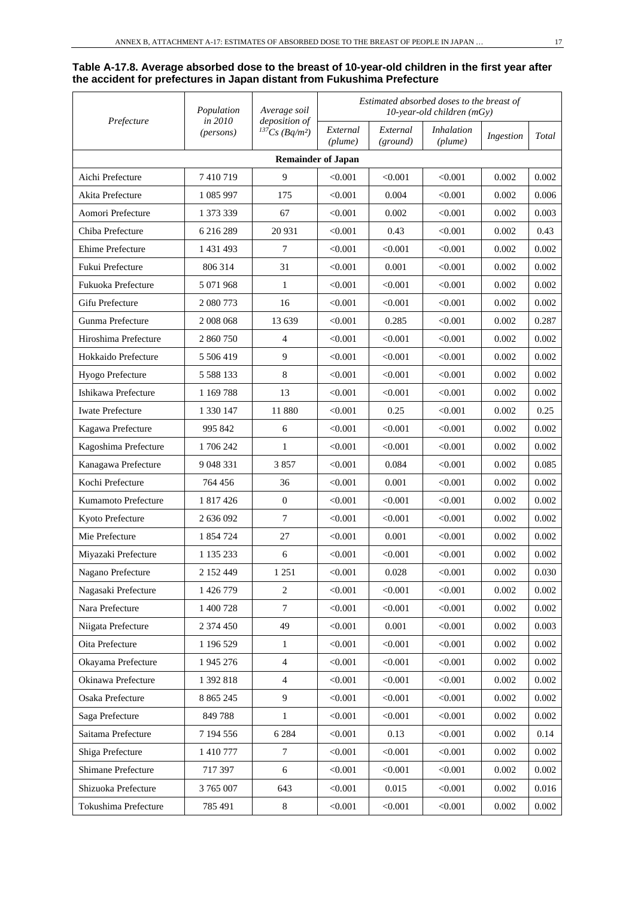#### **Table A-17.8. Average absorbed dose to the breast of 10-year-old children in the first year after the accident for prefectures in Japan distant from Fukushima Prefecture**

| Prefecture                | Population<br>in 2010 | Average soil                                       |                     |                      | Estimated absorbed doses to the breast of<br>10-year-old children (mGy) |           |       |  |  |
|---------------------------|-----------------------|----------------------------------------------------|---------------------|----------------------|-------------------------------------------------------------------------|-----------|-------|--|--|
|                           | (persons)             | deposition of<br>${}^{137}Cs$ (Bq/m <sup>2</sup> ) | External<br>(plume) | External<br>(ground) | <i>Inhalation</i><br>(plume)                                            | Ingestion | Total |  |  |
| <b>Remainder of Japan</b> |                       |                                                    |                     |                      |                                                                         |           |       |  |  |
| Aichi Prefecture          | 7410719               | 9                                                  | < 0.001             | < 0.001              | < 0.001                                                                 | 0.002     | 0.002 |  |  |
| Akita Prefecture          | 1 085 997             | 175                                                | < 0.001             | 0.004                | < 0.001                                                                 | 0.002     | 0.006 |  |  |
| Aomori Prefecture         | 1 373 339             | 67                                                 | < 0.001             | 0.002                | < 0.001                                                                 | 0.002     | 0.003 |  |  |
| Chiba Prefecture          | 6 216 289             | 20 931                                             | < 0.001             | 0.43                 | < 0.001                                                                 | 0.002     | 0.43  |  |  |
| Ehime Prefecture          | 1 431 493             | 7                                                  | < 0.001             | < 0.001              | < 0.001                                                                 | 0.002     | 0.002 |  |  |
| Fukui Prefecture          | 806 314               | 31                                                 | < 0.001             | 0.001                | < 0.001                                                                 | 0.002     | 0.002 |  |  |
| Fukuoka Prefecture        | 5 071 968             | $\mathbf{1}$                                       | < 0.001             | < 0.001              | < 0.001                                                                 | 0.002     | 0.002 |  |  |
| Gifu Prefecture           | 2 080 773             | 16                                                 | < 0.001             | < 0.001              | < 0.001                                                                 | 0.002     | 0.002 |  |  |
| Gunma Prefecture          | 2 008 068             | 13 639                                             | < 0.001             | 0.285                | < 0.001                                                                 | 0.002     | 0.287 |  |  |
| Hiroshima Prefecture      | 2 860 750             | 4                                                  | < 0.001             | < 0.001              | < 0.001                                                                 | 0.002     | 0.002 |  |  |
| Hokkaido Prefecture       | 5 506 419             | 9                                                  | < 0.001             | < 0.001              | < 0.001                                                                 | 0.002     | 0.002 |  |  |
| Hyogo Prefecture          | 5 5 8 1 3 3           | 8                                                  | < 0.001             | < 0.001              | < 0.001                                                                 | 0.002     | 0.002 |  |  |
| Ishikawa Prefecture       | 1 1 69 7 88           | 13                                                 | < 0.001             | < 0.001              | < 0.001                                                                 | 0.002     | 0.002 |  |  |
| <b>Iwate Prefecture</b>   | 1 330 147             | 11 880                                             | < 0.001             | 0.25                 | < 0.001                                                                 | 0.002     | 0.25  |  |  |
| Kagawa Prefecture         | 995 842               | 6                                                  | < 0.001             | < 0.001              | < 0.001                                                                 | 0.002     | 0.002 |  |  |
| Kagoshima Prefecture      | 1706242               | 1                                                  | < 0.001             | < 0.001              | < 0.001                                                                 | 0.002     | 0.002 |  |  |
| Kanagawa Prefecture       | 9 048 331             | 3857                                               | < 0.001             | 0.084                | < 0.001                                                                 | 0.002     | 0.085 |  |  |
| Kochi Prefecture          | 764 456               | 36                                                 | < 0.001             | 0.001                | < 0.001                                                                 | 0.002     | 0.002 |  |  |
| Kumamoto Prefecture       | 1 817 426             | $\mathbf{0}$                                       | < 0.001             | < 0.001              | < 0.001                                                                 | 0.002     | 0.002 |  |  |
| Kyoto Prefecture          | 2 636 092             | $\tau$                                             | < 0.001             | < 0.001              | < 0.001                                                                 | 0.002     | 0.002 |  |  |
| Mie Prefecture            | 1 854 724             | 27                                                 | < 0.001             | 0.001                | < 0.001                                                                 | 0.002     | 0.002 |  |  |
| Miyazaki Prefecture       | 1 135 233             | 6                                                  | < 0.001             | < 0.001              | < 0.001                                                                 | 0.002     | 0.002 |  |  |
| Nagano Prefecture         | 2 152 449             | 1 2 5 1                                            | < 0.001             | 0.028                | < 0.001                                                                 | 0.002     | 0.030 |  |  |
| Nagasaki Prefecture       | 1 426 779             | $\boldsymbol{2}$                                   | < 0.001             | < 0.001              | < 0.001                                                                 | 0.002     | 0.002 |  |  |
| Nara Prefecture           | 1 400 728             | $\overline{7}$                                     | < 0.001             | < 0.001              | < 0.001                                                                 | 0.002     | 0.002 |  |  |
| Niigata Prefecture        | 2 374 450             | 49                                                 | < 0.001             | 0.001                | < 0.001                                                                 | 0.002     | 0.003 |  |  |
| Oita Prefecture           | 1 196 529             | $\mathbf{1}$                                       | < 0.001             | < 0.001              | < 0.001                                                                 | 0.002     | 0.002 |  |  |
| Okayama Prefecture        | 1 945 276             | $\overline{4}$                                     | < 0.001             | < 0.001              | < 0.001                                                                 | 0.002     | 0.002 |  |  |
| Okinawa Prefecture        | 1 392 818             | $\overline{4}$                                     | < 0.001             | < 0.001              | < 0.001                                                                 | 0.002     | 0.002 |  |  |
| Osaka Prefecture          | 8 8 6 5 2 4 5         | $\overline{9}$                                     | < 0.001             | < 0.001              | < 0.001                                                                 | 0.002     | 0.002 |  |  |
| Saga Prefecture           | 849788                | $\mathbf{1}$                                       | < 0.001             | < 0.001              | < 0.001                                                                 | 0.002     | 0.002 |  |  |
| Saitama Prefecture        | 7 194 556             | 6 2 8 4                                            | < 0.001             | 0.13                 | < 0.001                                                                 | 0.002     | 0.14  |  |  |
| Shiga Prefecture          | 1 410 777             | 7                                                  | < 0.001             | < 0.001              | < 0.001                                                                 | 0.002     | 0.002 |  |  |
| Shimane Prefecture        | 717 397               | 6                                                  | < 0.001             | < 0.001              | < 0.001                                                                 | 0.002     | 0.002 |  |  |
| Shizuoka Prefecture       | 3 765 007             | 643                                                | < 0.001             | 0.015                | < 0.001                                                                 | 0.002     | 0.016 |  |  |
| Tokushima Prefecture      | 785 491               | $\,8\,$                                            | < 0.001             | < 0.001              | < 0.001                                                                 | 0.002     | 0.002 |  |  |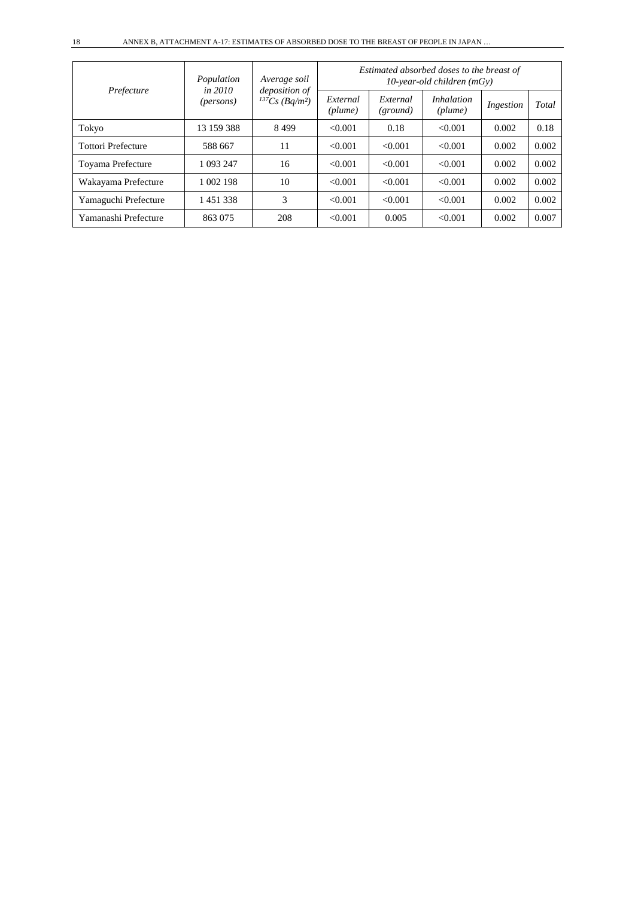| Prefecture                | Population<br>in $2010$<br>( <i>persons</i> ) | Average soil<br>deposition of<br>${}^{137}Cs$ (Bq/m <sup>2</sup> ) | Estimated absorbed doses to the breast of<br>$10$ -year-old children (mGy) |                      |                              |           |       |  |
|---------------------------|-----------------------------------------------|--------------------------------------------------------------------|----------------------------------------------------------------------------|----------------------|------------------------------|-----------|-------|--|
|                           |                                               |                                                                    | External<br>(plume)                                                        | External<br>(ground) | <i>Inhalation</i><br>(plume) | Ingestion | Total |  |
| Tokyo                     | 13 159 388                                    | 8499                                                               | < 0.001                                                                    | 0.18                 | < 0.001                      | 0.002     | 0.18  |  |
| <b>Tottori Prefecture</b> | 588 667                                       | 11                                                                 | < 0.001                                                                    | < 0.001              | < 0.001                      | 0.002     | 0.002 |  |
| Toyama Prefecture         | 1 093 247                                     | 16                                                                 | < 0.001                                                                    | < 0.001              | < 0.001                      | 0.002     | 0.002 |  |
| Wakayama Prefecture       | 1 002 198                                     | 10                                                                 | < 0.001                                                                    | < 0.001              | < 0.001                      | 0.002     | 0.002 |  |
| Yamaguchi Prefecture      | 1451338                                       | 3                                                                  | < 0.001                                                                    | < 0.001              | < 0.001                      | 0.002     | 0.002 |  |
| Yamanashi Prefecture      | 863 075                                       | 208                                                                | < 0.001                                                                    | 0.005                | < 0.001                      | 0.002     | 0.007 |  |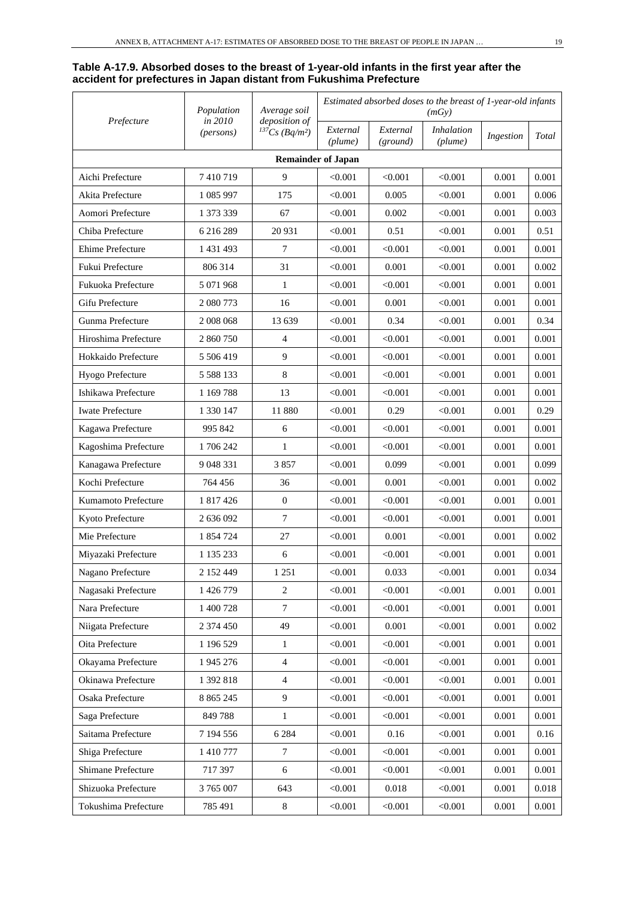#### **Table A-17.9. Absorbed doses to the breast of 1-year-old infants in the first year after the accident for prefectures in Japan distant from Fukushima Prefecture**

| Prefecture                | Population<br>in 2010 | Average soil                                     | Estimated absorbed doses to the breast of 1-year-old infants<br>(mGy) |                      |                              |           |       |  |  |
|---------------------------|-----------------------|--------------------------------------------------|-----------------------------------------------------------------------|----------------------|------------------------------|-----------|-------|--|--|
|                           | (persons)             | deposition of<br>$^{137}Cs$ (Bq/m <sup>2</sup> ) | External<br>(plume)                                                   | External<br>(ground) | <b>Inhalation</b><br>(plume) | Ingestion | Total |  |  |
| <b>Remainder of Japan</b> |                       |                                                  |                                                                       |                      |                              |           |       |  |  |
| Aichi Prefecture          | 7410719               | 9                                                | < 0.001                                                               | < 0.001              | < 0.001                      | 0.001     | 0.001 |  |  |
| Akita Prefecture          | 1 085 997             | 175                                              | < 0.001                                                               | 0.005                | < 0.001                      | 0.001     | 0.006 |  |  |
| Aomori Prefecture         | 1 373 339             | 67                                               | $<\!\!0.001$                                                          | 0.002                | < 0.001                      | 0.001     | 0.003 |  |  |
| Chiba Prefecture          | 6 216 289             | 20 931                                           | < 0.001                                                               | 0.51                 | < 0.001                      | 0.001     | 0.51  |  |  |
| Ehime Prefecture          | 1 431 493             | 7                                                | < 0.001                                                               | < 0.001              | < 0.001                      | 0.001     | 0.001 |  |  |
| Fukui Prefecture          | 806 314               | 31                                               | < 0.001                                                               | 0.001                | < 0.001                      | 0.001     | 0.002 |  |  |
| Fukuoka Prefecture        | 5 071 968             | 1                                                | < 0.001                                                               | < 0.001              | < 0.001                      | 0.001     | 0.001 |  |  |
| Gifu Prefecture           | 2 080 773             | 16                                               | $<\!\!0.001$                                                          | 0.001                | < 0.001                      | 0.001     | 0.001 |  |  |
| Gunma Prefecture          | 2008 068              | 13 639                                           | < 0.001                                                               | 0.34                 | < 0.001                      | 0.001     | 0.34  |  |  |
| Hiroshima Prefecture      | 2 860 750             | 4                                                | < 0.001                                                               | < 0.001              | < 0.001                      | 0.001     | 0.001 |  |  |
| Hokkaido Prefecture       | 5 506 419             | 9                                                | < 0.001                                                               | < 0.001              | < 0.001                      | 0.001     | 0.001 |  |  |
| Hyogo Prefecture          | 5 5 8 8 1 3 3         | 8                                                | < 0.001                                                               | < 0.001              | < 0.001                      | 0.001     | 0.001 |  |  |
| Ishikawa Prefecture       | 1 169 788             | 13                                               | $<\!\!0.001$                                                          | < 0.001              | < 0.001                      | 0.001     | 0.001 |  |  |
| <b>Iwate Prefecture</b>   | 1 330 147             | 11 880                                           | < 0.001                                                               | 0.29                 | < 0.001                      | 0.001     | 0.29  |  |  |
| Kagawa Prefecture         | 995 842               | 6                                                | < 0.001                                                               | < 0.001              | < 0.001                      | 0.001     | 0.001 |  |  |
| Kagoshima Prefecture      | 1706242               | 1                                                | < 0.001                                                               | < 0.001              | < 0.001                      | 0.001     | 0.001 |  |  |
| Kanagawa Prefecture       | 9 048 331             | 3857                                             | < 0.001                                                               | 0.099                | < 0.001                      | 0.001     | 0.099 |  |  |
| Kochi Prefecture          | 764 456               | 36                                               | < 0.001                                                               | 0.001                | < 0.001                      | 0.001     | 0.002 |  |  |
| Kumamoto Prefecture       | 1 817 426             | $\boldsymbol{0}$                                 | < 0.001                                                               | < 0.001              | < 0.001                      | 0.001     | 0.001 |  |  |
| Kyoto Prefecture          | 2 636 092             | 7                                                | < 0.001                                                               | < 0.001              | < 0.001                      | 0.001     | 0.001 |  |  |
| Mie Prefecture            | 1 854 724             | 27                                               | < 0.001                                                               | 0.001                | < 0.001                      | 0.001     | 0.002 |  |  |
| Miyazaki Prefecture       | 1 135 233             | 6                                                | < 0.001                                                               | < 0.001              | < 0.001                      | 0.001     | 0.001 |  |  |
| Nagano Prefecture         | 2 152 449             | 1 2 5 1                                          | < 0.001                                                               | 0.033                | < 0.001                      | 0.001     | 0.034 |  |  |
| Nagasaki Prefecture       | 1 426 779             | $\sqrt{2}$                                       | < 0.001                                                               | < 0.001              | < 0.001                      | 0.001     | 0.001 |  |  |
| Nara Prefecture           | 1 400 728             | 7                                                | < 0.001                                                               | < 0.001              | < 0.001                      | 0.001     | 0.001 |  |  |
| Niigata Prefecture        | 2 374 450             | 49                                               | < 0.001                                                               | 0.001                | < 0.001                      | 0.001     | 0.002 |  |  |
| Oita Prefecture           | 1 196 529             | $\mathbf{1}$                                     | < 0.001                                                               | < 0.001              | < 0.001                      | 0.001     | 0.001 |  |  |
| Okayama Prefecture        | 1 945 276             | $\overline{4}$                                   | < 0.001                                                               | < 0.001              | < 0.001                      | 0.001     | 0.001 |  |  |
| Okinawa Prefecture        | 1 392 818             | $\overline{4}$                                   | < 0.001                                                               | < 0.001              | < 0.001                      | 0.001     | 0.001 |  |  |
| Osaka Prefecture          | 8 8 6 5 2 4 5         | $\overline{9}$                                   | < 0.001                                                               | < 0.001              | < 0.001                      | 0.001     | 0.001 |  |  |
| Saga Prefecture           | 849 788               | $\mathbf{1}$                                     | < 0.001                                                               | < 0.001              | < 0.001                      | 0.001     | 0.001 |  |  |
| Saitama Prefecture        | 7 194 556             | 6 2 8 4                                          | < 0.001                                                               | 0.16                 | < 0.001                      | 0.001     | 0.16  |  |  |
| Shiga Prefecture          | 1 410 777             | 7                                                | < 0.001                                                               | < 0.001              | < 0.001                      | 0.001     | 0.001 |  |  |
| Shimane Prefecture        | 717 397               | 6                                                | < 0.001                                                               | < 0.001              | < 0.001                      | 0.001     | 0.001 |  |  |
| Shizuoka Prefecture       | 3 765 007             | 643                                              | < 0.001                                                               | 0.018                | < 0.001                      | 0.001     | 0.018 |  |  |
| Tokushima Prefecture      | 785 491               | $\,8\,$                                          | < 0.001                                                               | < 0.001              | < 0.001                      | 0.001     | 0.001 |  |  |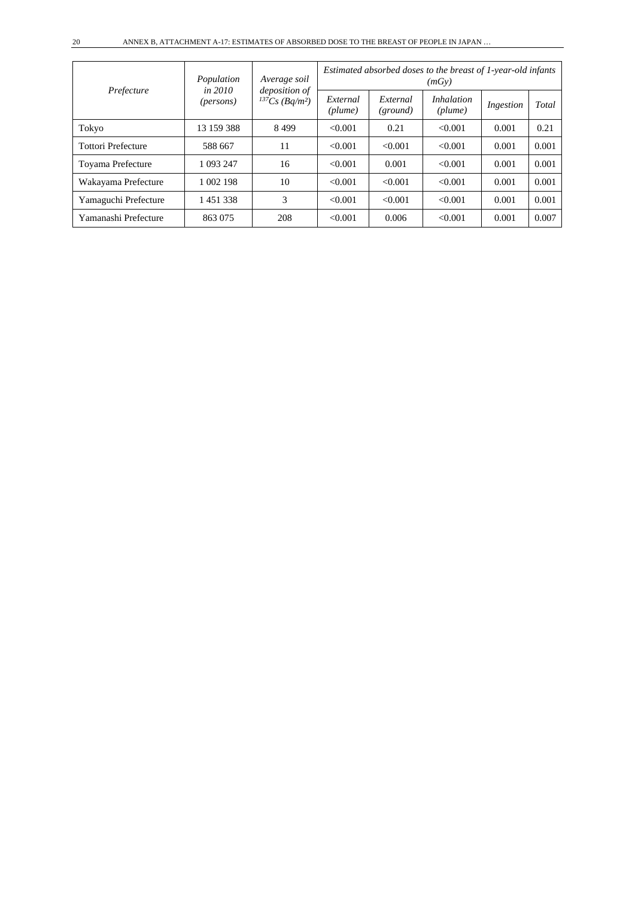| Prefecture                | Population<br>in 2010<br>( <i>persons</i> ) | Average soil<br><i>deposition</i> of<br>$^{137}Cs$ (Bq/m <sup>2</sup> ) | Estimated absorbed doses to the breast of 1-year-old infants<br>(mGy) |                      |                              |           |       |  |
|---------------------------|---------------------------------------------|-------------------------------------------------------------------------|-----------------------------------------------------------------------|----------------------|------------------------------|-----------|-------|--|
|                           |                                             |                                                                         | External<br>(plume)                                                   | External<br>(ground) | <i>Inhalation</i><br>(plume) | Ingestion | Total |  |
| Tokyo                     | 13 159 388                                  | 8499                                                                    | < 0.001                                                               | 0.21                 | < 0.001                      | 0.001     | 0.21  |  |
| <b>Tottori Prefecture</b> | 588 667                                     | 11                                                                      | < 0.001                                                               | < 0.001              | < 0.001                      | 0.001     | 0.001 |  |
| Toyama Prefecture         | 1 093 247                                   | 16                                                                      | < 0.001                                                               | 0.001                | < 0.001                      | 0.001     | 0.001 |  |
| Wakayama Prefecture       | 1 002 198                                   | 10                                                                      | < 0.001                                                               | < 0.001              | < 0.001                      | 0.001     | 0.001 |  |
| Yamaguchi Prefecture      | 1451338                                     | 3                                                                       | < 0.001                                                               | < 0.001              | < 0.001                      | 0.001     | 0.001 |  |
| Yamanashi Prefecture      | 863 075                                     | 208                                                                     | < 0.001                                                               | 0.006                | < 0.001                      | 0.001     | 0.007 |  |